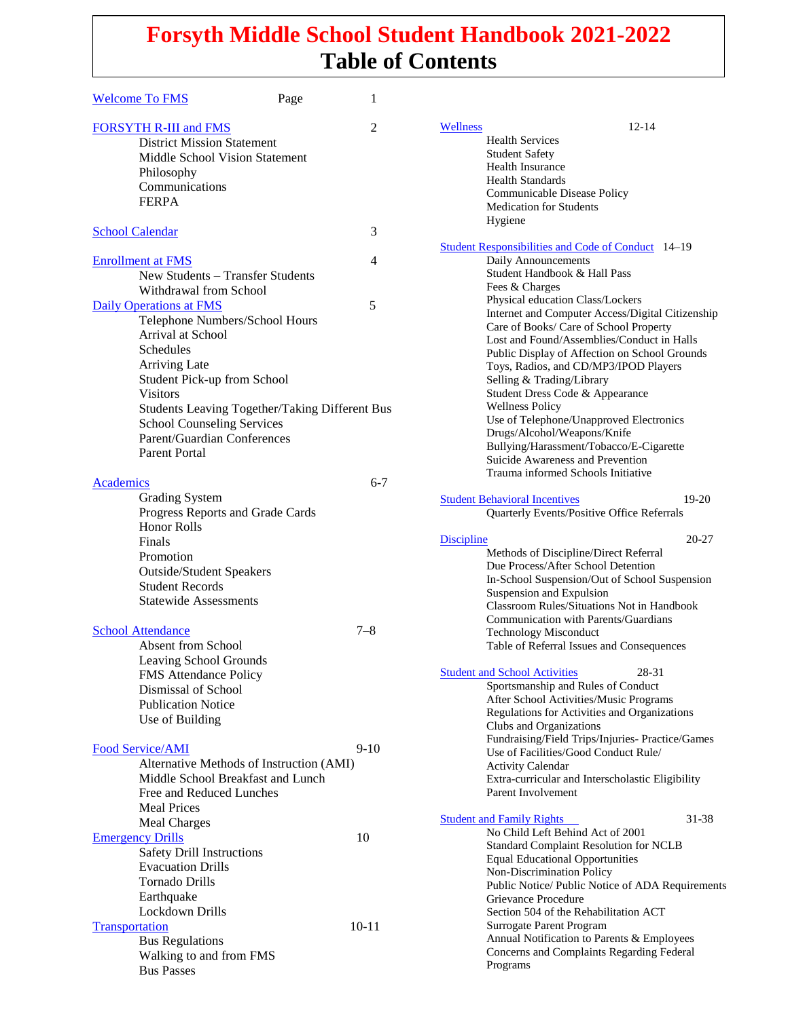#### maskFile **Forsyth Middle School Student Handbook 2021-2022 Table of Contents**

| <b>Welcome To FMS</b>                          | Page | 1              |                                                                      |           |
|------------------------------------------------|------|----------------|----------------------------------------------------------------------|-----------|
| <b>FORSYTH R-III and FMS</b>                   |      | $\overline{2}$ | $12 - 14$<br>Wellness                                                |           |
| <b>District Mission Statement</b>              |      |                | <b>Health Services</b>                                               |           |
| Middle School Vision Statement                 |      |                | <b>Student Safety</b>                                                |           |
|                                                |      |                | <b>Health Insurance</b>                                              |           |
| Philosophy                                     |      |                | <b>Health Standards</b>                                              |           |
| Communications                                 |      |                | Communicable Disease Policy                                          |           |
| <b>FERPA</b>                                   |      |                | Medication for Students                                              |           |
|                                                |      |                | Hygiene                                                              |           |
| <b>School Calendar</b>                         |      | 3              |                                                                      |           |
|                                                |      |                | <b>Student Responsibilities and Code of Conduct</b> 14-19            |           |
| <b>Enrollment at FMS</b>                       |      | 4              | Daily Announcements                                                  |           |
| New Students - Transfer Students               |      |                | Student Handbook & Hall Pass                                         |           |
| Withdrawal from School                         |      |                | Fees & Charges                                                       |           |
|                                                |      | 5              | Physical education Class/Lockers                                     |           |
| <b>Daily Operations at FMS</b>                 |      |                | Internet and Computer Access/Digital Citizenship                     |           |
| Telephone Numbers/School Hours                 |      |                | Care of Books/ Care of School Property                               |           |
| Arrival at School                              |      |                | Lost and Found/Assemblies/Conduct in Halls                           |           |
| Schedules                                      |      |                | Public Display of Affection on School Grounds                        |           |
| <b>Arriving Late</b>                           |      |                | Toys, Radios, and CD/MP3/IPOD Players                                |           |
| Student Pick-up from School                    |      |                | Selling & Trading/Library                                            |           |
| <b>Visitors</b>                                |      |                | Student Dress Code & Appearance                                      |           |
| Students Leaving Together/Taking Different Bus |      |                | <b>Wellness Policy</b>                                               |           |
| <b>School Counseling Services</b>              |      |                | Use of Telephone/Unapproved Electronics                              |           |
| Parent/Guardian Conferences                    |      |                | Drugs/Alcohol/Weapons/Knife                                          |           |
| <b>Parent Portal</b>                           |      |                | Bullying/Harassment/Tobacco/E-Cigarette                              |           |
|                                                |      |                | Suicide Awareness and Prevention                                     |           |
|                                                |      |                | Trauma informed Schools Initiative                                   |           |
| Academics                                      |      | $6 - 7$        |                                                                      |           |
| <b>Grading System</b>                          |      |                | <b>Student Behavioral Incentives</b>                                 | $19-20$   |
| Progress Reports and Grade Cards               |      |                | Quarterly Events/Positive Office Referrals                           |           |
| <b>Honor Rolls</b>                             |      |                |                                                                      |           |
| Finals                                         |      |                | <b>Discipline</b>                                                    | $20 - 27$ |
| Promotion                                      |      |                | Methods of Discipline/Direct Referral                                |           |
| <b>Outside/Student Speakers</b>                |      |                | Due Process/After School Detention                                   |           |
| <b>Student Records</b>                         |      |                | In-School Suspension/Out of School Suspension                        |           |
| <b>Statewide Assessments</b>                   |      |                | Suspension and Expulsion                                             |           |
|                                                |      |                | <b>Classroom Rules/Situations Not in Handbook</b>                    |           |
|                                                |      |                | Communication with Parents/Guardians                                 |           |
| <b>School Attendance</b>                       |      | $7 - 8$        | <b>Technology Misconduct</b>                                         |           |
| <b>Absent from School</b>                      |      |                | Table of Referral Issues and Consequences                            |           |
| Leaving School Grounds                         |      |                |                                                                      |           |
| FMS Attendance Policy                          |      |                | <b>Student and School Activities</b><br>28-31                        |           |
| Dismissal of School                            |      |                | Sportsmanship and Rules of Conduct                                   |           |
| <b>Publication Notice</b>                      |      |                | After School Activities/Music Programs                               |           |
| Use of Building                                |      |                | Regulations for Activities and Organizations                         |           |
|                                                |      |                | Clubs and Organizations                                              |           |
| Food Service/AMI                               |      | $9-10$         | Fundraising/Field Trips/Injuries- Practice/Games                     |           |
| Alternative Methods of Instruction (AMI)       |      |                | Use of Facilities/Good Conduct Rule/                                 |           |
| Middle School Breakfast and Lunch              |      |                | <b>Activity Calendar</b>                                             |           |
|                                                |      |                | Extra-curricular and Interscholastic Eligibility                     |           |
| Free and Reduced Lunches                       |      |                | Parent Involvement                                                   |           |
| <b>Meal Prices</b>                             |      |                |                                                                      | 31-38     |
| Meal Charges                                   |      |                | <b>Student and Family Rights</b><br>No Child Left Behind Act of 2001 |           |
| <b>Emergency Drills</b>                        |      | 10             | <b>Standard Complaint Resolution for NCLB</b>                        |           |
| Safety Drill Instructions                      |      |                | <b>Equal Educational Opportunities</b>                               |           |
| <b>Evacuation Drills</b>                       |      |                | Non-Discrimination Policy                                            |           |
| Tornado Drills                                 |      |                | Public Notice/ Public Notice of ADA Requirements                     |           |
| Earthquake                                     |      |                | Grievance Procedure                                                  |           |
| Lockdown Drills                                |      |                | Section 504 of the Rehabilitation ACT                                |           |
| Transportation                                 |      | $10 - 11$      | Surrogate Parent Program                                             |           |
|                                                |      |                | Annual Notification to Parents & Employees                           |           |
| <b>Bus Regulations</b>                         |      |                | Concerns and Complaints Regarding Federal                            |           |
| Walking to and from FMS                        |      |                | Programs                                                             |           |
| <b>Bus Passes</b>                              |      |                |                                                                      |           |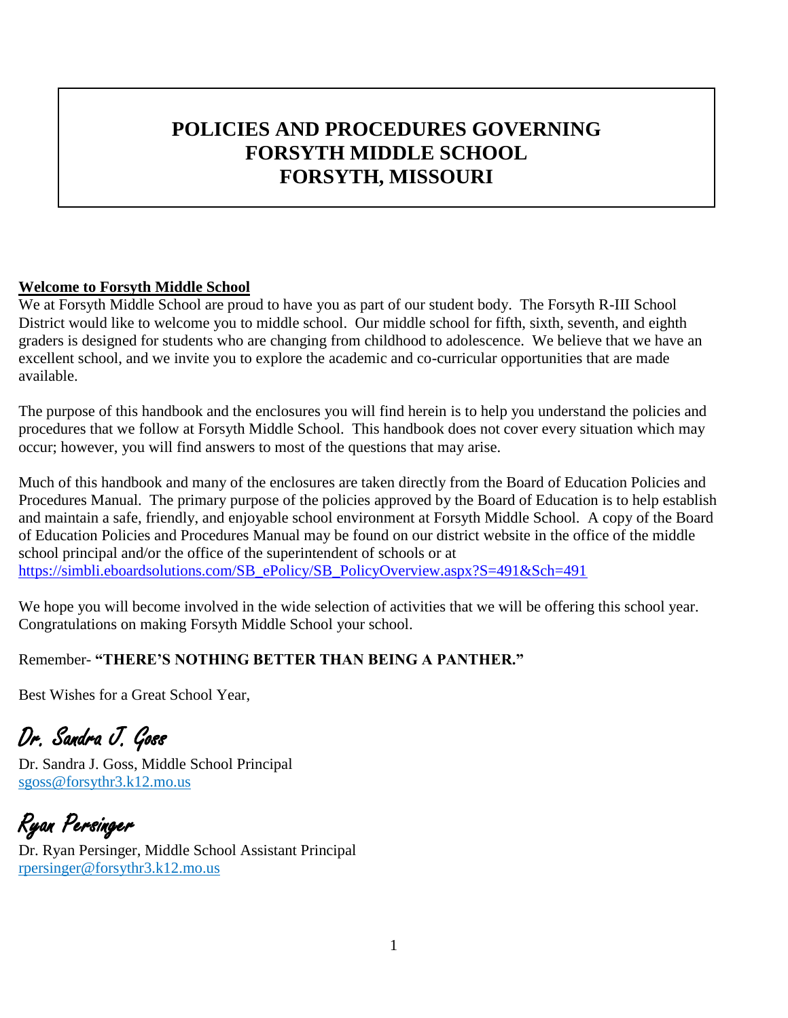# **POLICIES AND PROCEDURES GOVERNING FORSYTH MIDDLE SCHOOL FORSYTH, MISSOURI**

#### <span id="page-1-0"></span>**Welcome to Forsyth Middle School**

We at Forsyth Middle School are proud to have you as part of our student body. The Forsyth R-III School District would like to welcome you to middle school. Our middle school for fifth, sixth, seventh, and eighth graders is designed for students who are changing from childhood to adolescence. We believe that we have an excellent school, and we invite you to explore the academic and co-curricular opportunities that are made available.

The purpose of this handbook and the enclosures you will find herein is to help you understand the policies and procedures that we follow at Forsyth Middle School. This handbook does not cover every situation which may occur; however, you will find answers to most of the questions that may arise.

Much of this handbook and many of the enclosures are taken directly from the Board of Education Policies and Procedures Manual. The primary purpose of the policies approved by the Board of Education is to help establish and maintain a safe, friendly, and enjoyable school environment at Forsyth Middle School. A copy of the Board of Education Policies and Procedures Manual may be found on our district website in the office of the middle school principal and/or the office of the superintendent of schools or at [https://simbli.eboardsolutions.com/SB\\_ePolicy/SB\\_PolicyOverview.aspx?S=491&Sch=491](https://simbli.eboardsolutions.com/SB_ePolicy/SB_PolicyOverview.aspx?S=491&Sch=491)

We hope you will become involved in the wide selection of activities that we will be offering this school year. Congratulations on making Forsyth Middle School your school.

### Remember- **"THERE'S NOTHING BETTER THAN BEING A PANTHER."**

Best Wishes for a Great School Year,

Dr. Sandra J. Goss

Dr. Sandra J. Goss, Middle School Principal [sgoss@forsythr3.k12.mo.us](mailto:sgoss@dallasr1.k12.mo.us)

Ryan Persinger Dr. Ryan Persinger, Middle School Assistant Principal [rpersinger@forsythr3.k12.mo.us](mailto:rpersinger@forsythr3.k12.mo.us)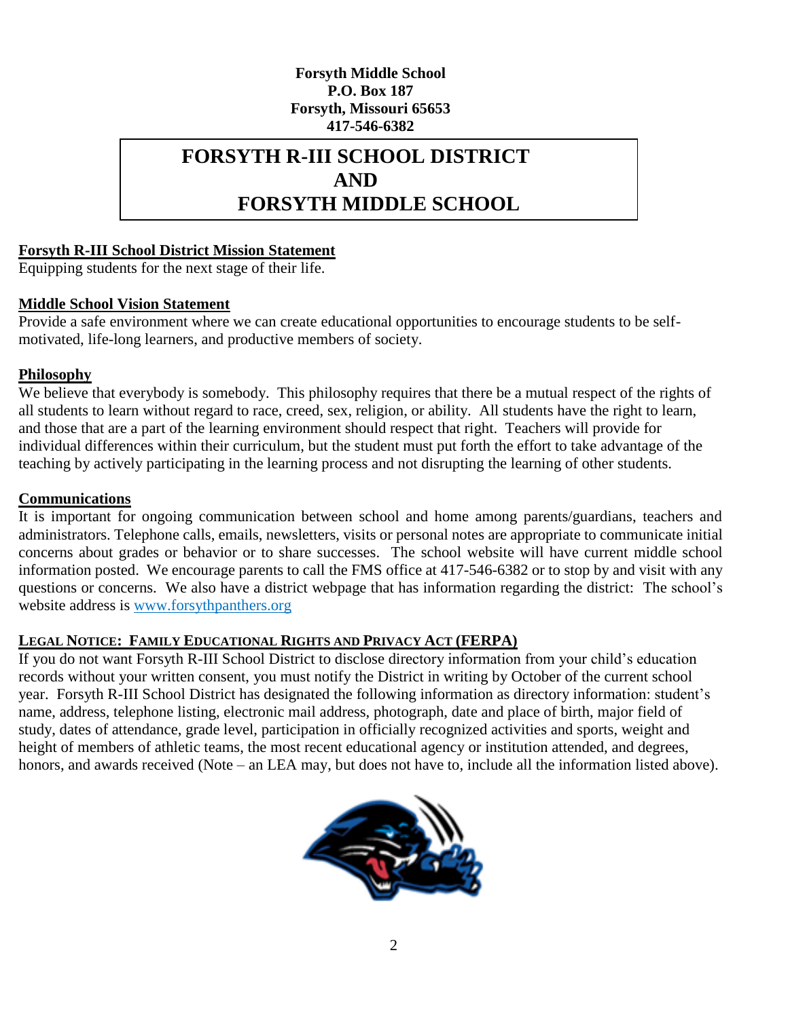#### **Forsyth Middle School P.O. Box 187 Forsyth, Missouri 65653 417-546-6382**

### **FORSYTH R-III SCHOOL DISTRICT AND FORSYTH MIDDLE SCHOOL**

#### <span id="page-2-0"></span>**Forsyth R-III School District Mission Statement**

Equipping students for the next stage of their life.

#### **Middle School Vision Statement**

Provide a safe environment where we can create educational opportunities to encourage students to be selfmotivated, life-long learners, and productive members of society.

#### **Philosophy**

We believe that everybody is somebody. This philosophy requires that there be a mutual respect of the rights of all students to learn without regard to race, creed, sex, religion, or ability. All students have the right to learn, and those that are a part of the learning environment should respect that right. Teachers will provide for individual differences within their curriculum, but the student must put forth the effort to take advantage of the teaching by actively participating in the learning process and not disrupting the learning of other students.

#### **Communications**

It is important for ongoing communication between school and home among parents/guardians, teachers and administrators. Telephone calls, emails, newsletters, visits or personal notes are appropriate to communicate initial concerns about grades or behavior or to share successes. The school website will have current middle school information posted. We encourage parents to call the FMS office at 417-546-6382 or to stop by and visit with any questions or concerns. We also have a district webpage that has information regarding the district: The school's website address is [www.forsythpanthers.org](http://www.forsythpanthers.org/)

#### **LEGAL NOTICE: FAMILY EDUCATIONAL RIGHTS AND PRIVACY ACT (FERPA)**

If you do not want Forsyth R-III School District to disclose directory information from your child's education records without your written consent, you must notify the District in writing by October of the current school year. Forsyth R-III School District has designated the following information as directory information: student's name, address, telephone listing, electronic mail address, photograph, date and place of birth, major field of study, dates of attendance, grade level, participation in officially recognized activities and sports, weight and height of members of athletic teams, the most recent educational agency or institution attended, and degrees, honors, and awards received (Note – an LEA may, but does not have to, include all the information listed above).

<span id="page-2-1"></span>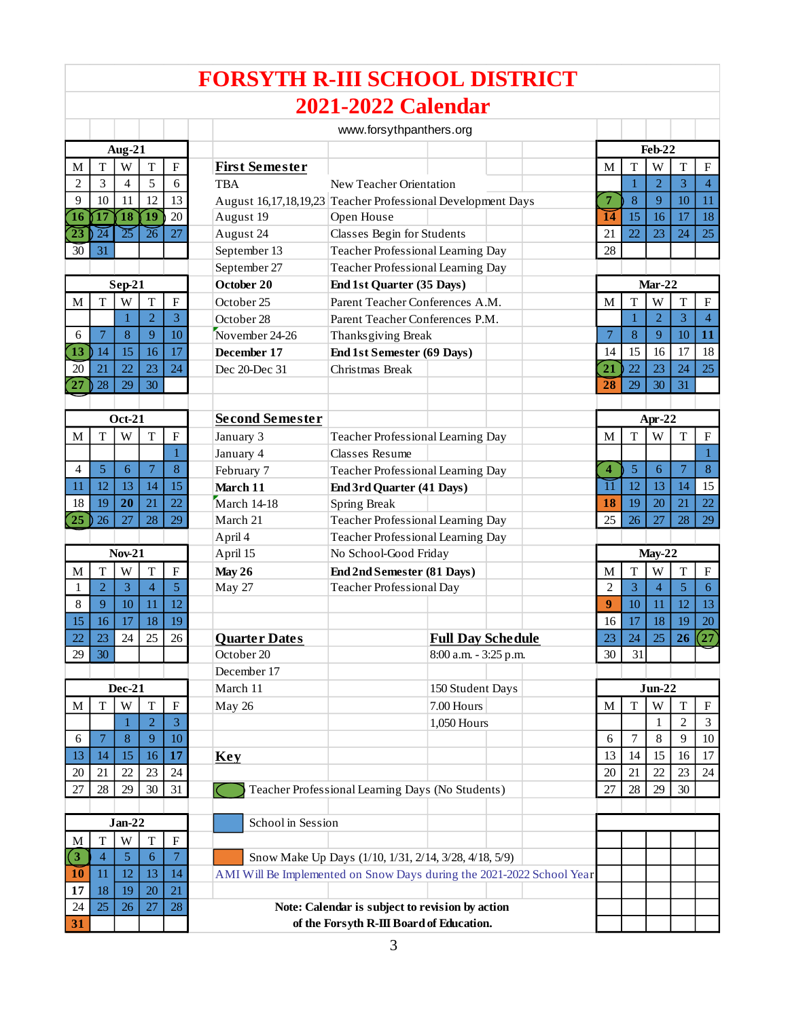#### M T W T F **First Semester** M T W T F  $2 \mid 3 \mid 4 \mid 5 \mid 6$  TBA New Teacher Orientation 9 | 10 | 11 | 12 | 13 | August 16,17,18,19,23 Teacher Professional Development Days **7** 8 | 9 | 10 | 11 **1 6 1 7 1 8 1 9** 20 August 19 Open House **1 4** 15 16 17 18 **23** 24 25 26 27 August 24 Classes Begin for Students 21 22 23 24 25 30 31 September 13 Teacher Professional Learning Day 28 September 27 Teacher Professional Learning Day **October 20 End 1st Quarter (35 Days)**  $M$  T W T F October 25 Parent Teacher Conferences A.M. M T W T F 1 2 3 October 28 Parent Teacher Conferences P.M. <sup>6</sup> <sup>7</sup> 8 <sup>9</sup> 10 November 24-26 Thanksgiving Break <sup>7</sup> 8 <sup>9</sup> 10 **1 1 13** 14 15 16 17 **December 17 End 1st Semester (69 Days)** 14 15 16 17 18 20 21 22 23 24 Dec 20-Dec 31 Christmas Break **2 1** 22 23 24 25 **27** 0 28 | 29 | 30 | 21 | 28 | 29 | 30 | 31 **Second Semester** M  $\mid T \mid W \mid T \mid F \mid$  January 3 Teacher Professional Learning Day  $\mid M \mid T \mid W \mid T \mid F$ 1 January 4 Classes Resume 1 1 1 1 1 <sup>4</sup> 5 <sup>6</sup> <sup>7</sup> 8 February 7 Teacher Professional Learning Day **4** 5 <sup>6</sup> <sup>7</sup> 8 11 | 12 | 13 | 14 | 15 **March 11 End 3rd Quarter (41 Days)** 11 | 12 | 13 | 14 | 15 18 19 **2 0** <sup>21</sup> <sup>22</sup> March 14-18 Spring Break **1 8** 19 20 <sup>21</sup> <sup>22</sup> **25** 26 27 28 29 March 21 Teacher Professional Learning Day 25 26 27 28 29 April 4 Teacher Professional Learning Day April 15 No School-Good Friday **Nov-21 May-22** M  $\vert$  T  $\vert$  W  $\vert$  T  $\vert$  F  $\vert$  May 26 **End 2nd Semester (81 Days)** M  $\vert$  M  $\vert$  T  $\vert$  W  $\vert$  T  $\vert$  F 1 2 3 4 5 May 27 Teacher Professional Day 2 3 4 5 6 8 9 10 11 12 **9** 10 11 12 13 15 | 16 | 17 | 18 | 19 | 20 | 16 | 17 | 18 | 19 | 20 | 16 | 17 | 18 | 19 | 20 **22 23 24 25 26 Quarter Dates Full Day Schedule** 23 **24 25 26 27** 29 30 Ctober 20 8:00 a.m. - 3:25 p.m. 30 31 December 17 March 11 150 Student Days **Dec-21 Jun-22**  $M$  | T | W | T | F | May 26  $\vert$  7.00 Hours | M | T | W | T | F  $1 \mid 2 \mid 3$  1,050 Hours 1,050 Hours 1 1 1 2 3 6 7 8 9 10 6 7 8 9 10 <sup>13</sup> <sup>14</sup> <sup>15</sup> <sup>16</sup> **1 7 Key** <sup>13</sup> <sup>14</sup> <sup>15</sup> <sup>16</sup> <sup>17</sup> 20 21 22 23 24 23 24 23 24 23 24 23 24 23 24 25 26 27 28 29 20 21 22 23 24  $27 \mid 28 \mid 29 \mid 30 \mid 31$  Teacher Professional Learning Days (No Students) 27 28 29 30 School in Session  $M$  T W T F **3** 4 5 6 7 Snow Make Up Days (1/10, 1/31, 2/14, 3/28, 4/18, 5/9) **FORSYTH R-III SCHOOL DISTRICT**  www.forsythpanthers.org **Aug-21 Jan-22 2021-2022 Calendar Sep-21 Oct-21 Feb-22 Mar-22 Apr-22**

**10** 11 | 12 | 13 | 14 | AMI Will Be Implemented on Snow Days during the 2021-2022 School Year **Note: Calendar is subject to revision by action of the Forsyth R-III Board of Education.**

**17** 18 19 20 21 24 25 26 27 28

**3 1**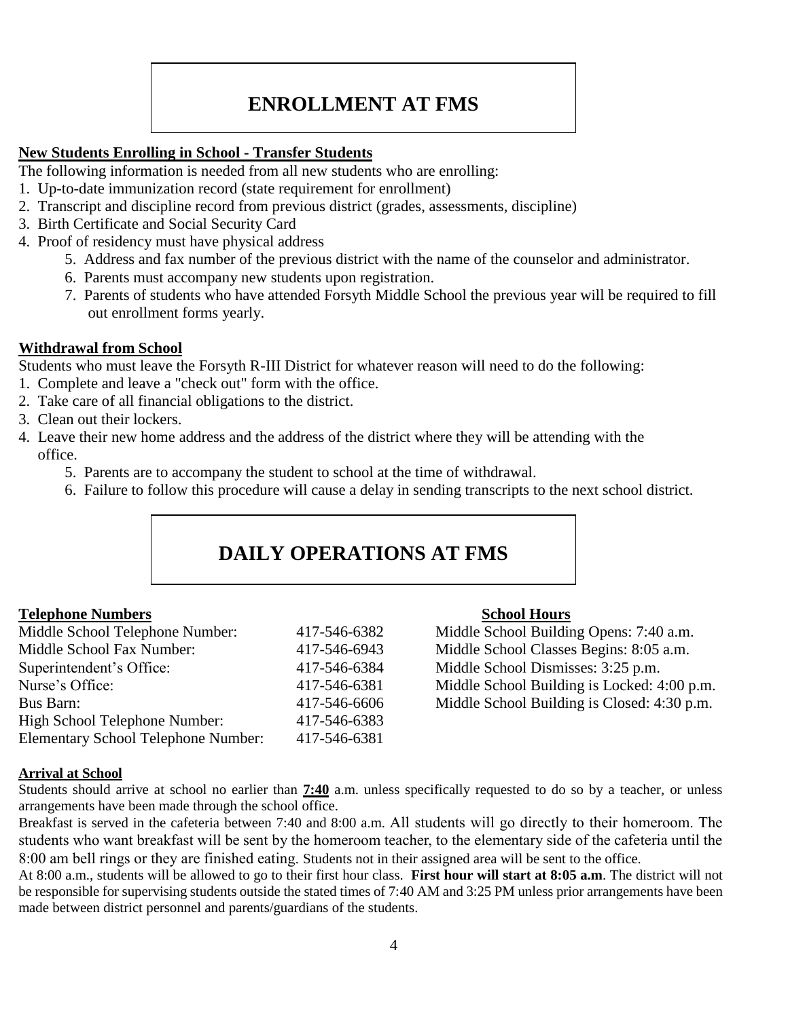# **ENROLLMENT AT FMS**

#### <span id="page-4-0"></span>**New Students Enrolling in School - Transfer Students**

The following information is needed from all new students who are enrolling:

- 1. Up-to-date immunization record (state requirement for enrollment)
- 2. Transcript and discipline record from previous district (grades, assessments, discipline)
- 3. Birth Certificate and Social Security Card
- 4. Proof of residency must have physical address
	- 5. Address and fax number of the previous district with the name of the counselor and administrator.
	- 6. Parents must accompany new students upon registration.
	- 7. Parents of students who have attended Forsyth Middle School the previous year will be required to fill out enrollment forms yearly.

#### **Withdrawal from School**

Students who must leave the Forsyth R-III District for whatever reason will need to do the following:

- 1. Complete and leave a "check out" form with the office.
- 2. Take care of all financial obligations to the district.
- 3. Clean out their lockers.
- <span id="page-4-1"></span>4. Leave their new home address and the address of the district where they will be attending with the office.
	- 5. Parents are to accompany the student to school at the time of withdrawal.
	- 6. Failure to follow this procedure will cause a delay in sending transcripts to the next school district.

# **DAILY OPERATIONS AT FMS**

#### **Telephone Numbers School Hours**

| Middle School Telephone Number:            | 417-546-6382 |
|--------------------------------------------|--------------|
| Middle School Fax Number:                  | 417-546-6943 |
| Superintendent's Office:                   | 417-546-6384 |
| Nurse's Office:                            | 417-546-6381 |
| Bus Barn:                                  | 417-546-6606 |
| High School Telephone Number:              | 417-546-6383 |
| <b>Elementary School Telephone Number:</b> | 417-546-6381 |

Middle School Building Opens: 7:40 a.m. Middle School Classes Begins: 8:05 a.m. Middle School Dismisses: 3:25 p.m. Middle School Building is Locked: 4:00 p.m.  $5 \text{ Middle School Building is Closed: } 4:30 \text{ p.m.}$ 

#### **Arrival at School**

Students should arrive at school no earlier than **7:40** a.m. unless specifically requested to do so by a teacher, or unless arrangements have been made through the school office.

Breakfast is served in the cafeteria between 7:40 and 8:00 a.m. All students will go directly to their homeroom. The students who want breakfast will be sent by the homeroom teacher, to the elementary side of the cafeteria until the 8:00 am bell rings or they are finished eating. Students not in their assigned area will be sent to the office.

At 8:00 a.m., students will be allowed to go to their first hour class. **First hour will start at 8:05 a.m**. The district will not be responsible for supervising students outside the stated times of 7:40 AM and 3:25 PM unless prior arrangements have been made between district personnel and parents/guardians of the students.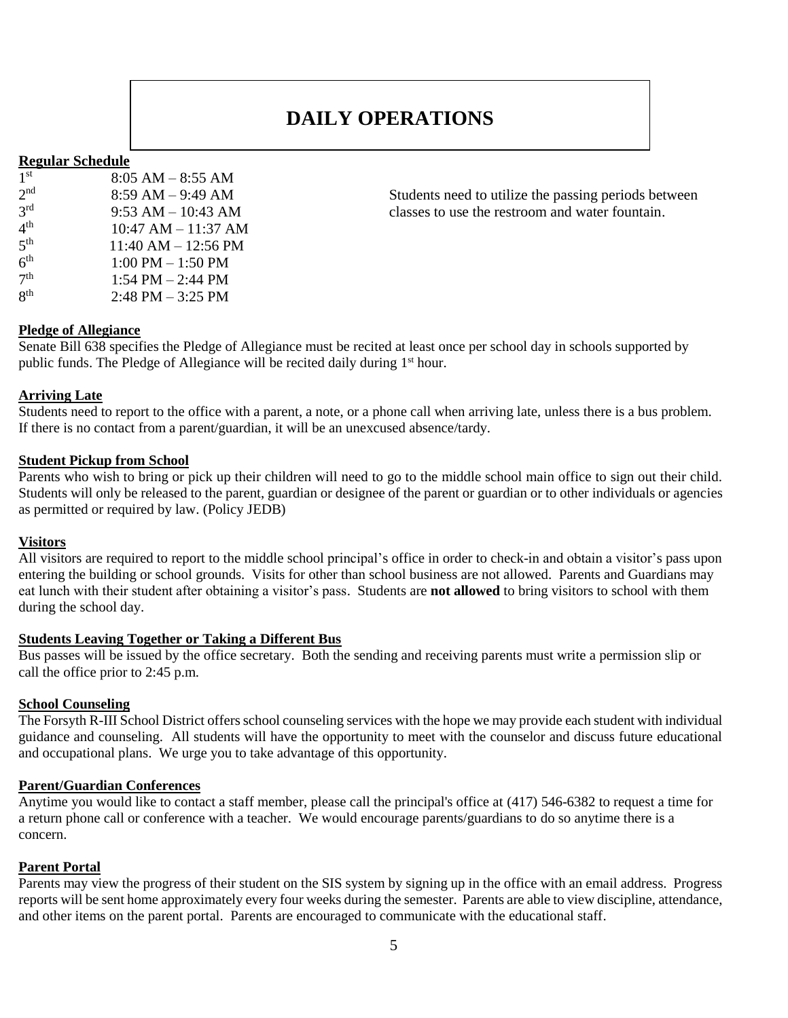### **DAILY OPERATIONS**

#### **Regular Schedule**

| 1 <sup>st</sup> | $8:05$ AM $-8:55$ AM    |
|-----------------|-------------------------|
| 2 <sub>nd</sub> | $8:59$ AM $-9:49$ AM    |
| $3^{\text{rd}}$ | $9:53$ AM $- 10:43$ AM  |
| 4 <sup>th</sup> | $10:47$ AM $- 11:37$ AM |
| 5 <sup>th</sup> | $11:40$ AM $- 12:56$ PM |
| 6 <sup>th</sup> | $1:00$ PM $- 1:50$ PM   |
| 7 <sup>th</sup> | 1:54 PM $-$ 2:44 PM     |
| $R^{th}$        | $2:48$ PM $-3:25$ PM    |

Students need to utilize the passing periods between classes to use the restroom and water fountain.

#### **Pledge of Allegiance**

Senate Bill 638 specifies the Pledge of Allegiance must be recited at least once per school day in schools supported by public funds. The Pledge of Allegiance will be recited daily during 1<sup>st</sup> hour.

#### **Arriving Late**

Students need to report to the office with a parent, a note, or a phone call when arriving late, unless there is a bus problem. If there is no contact from a parent/guardian, it will be an unexcused absence/tardy.

#### **Student Pickup from School**

Parents who wish to bring or pick up their children will need to go to the middle school main office to sign out their child. Students will only be released to the parent, guardian or designee of the parent or guardian or to other individuals or agencies as permitted or required by law. (Policy JEDB)

#### **Visitors**

All visitors are required to report to the middle school principal's office in order to check-in and obtain a visitor's pass upon entering the building or school grounds. Visits for other than school business are not allowed. Parents and Guardians may eat lunch with their student after obtaining a visitor's pass. Students are **not allowed** to bring visitors to school with them during the school day.

#### **Students Leaving Together or Taking a Different Bus**

Bus passes will be issued by the office secretary. Both the sending and receiving parents must write a permission slip or call the office prior to 2:45 p.m.

#### **School Counseling**

The Forsyth R-III School District offers school counseling services with the hope we may provide each student with individual guidance and counseling. All students will have the opportunity to meet with the counselor and discuss future educational and occupational plans. We urge you to take advantage of this opportunity.

#### **Parent/Guardian Conferences**

Anytime you would like to contact a staff member, please call the principal's office at (417) 546-6382 to request a time for a return phone call or conference with a teacher. We would encourage parents/guardians to do so anytime there is a concern.

#### **Parent Portal**

Parents may view the progress of their student on the SIS system by signing up in the office with an email address. Progress reports will be sent home approximately every four weeks during the semester. Parents are able to view discipline, attendance, and other items on the parent portal. Parents are encouraged to communicate with the educational staff.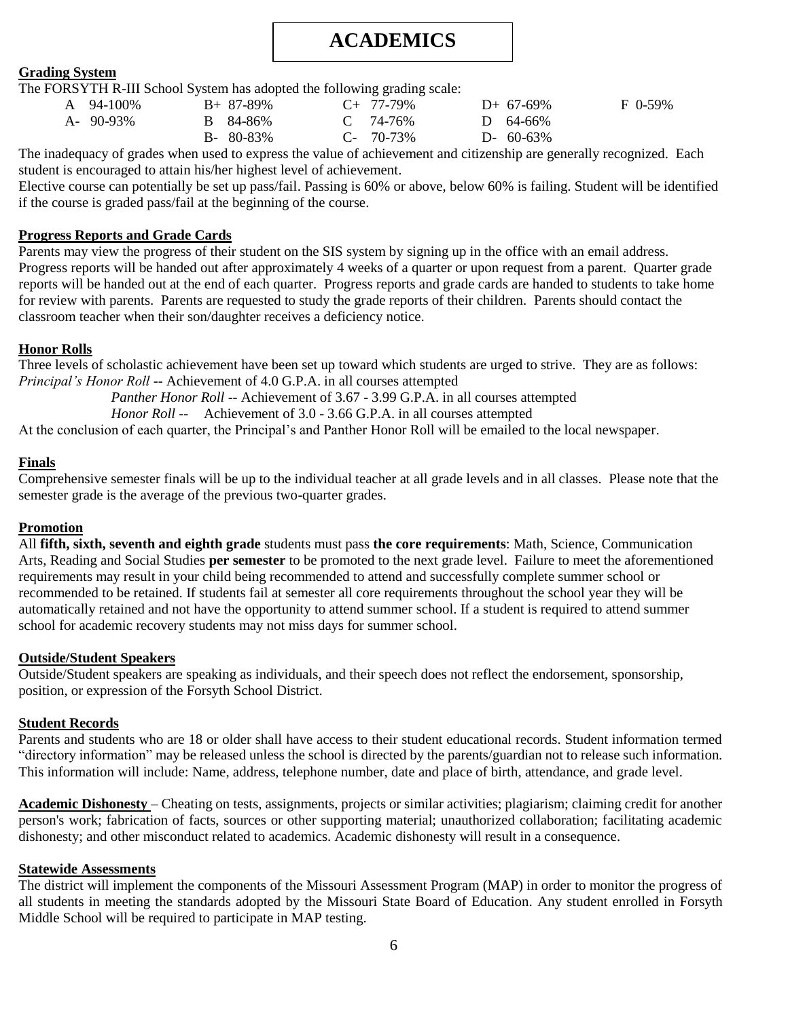# **ACADEMICS**

#### <span id="page-6-0"></span>**Grading System**

The FORSYTH R-III School System has adopted the following grading scale:

| A 94-100%       | $B+87-89\%$     | $C_{+}$ 77-79% | $D+ 67-69\%$    | F 0-59% |
|-----------------|-----------------|----------------|-----------------|---------|
| $A - 90 - 93\%$ | B 84-86%        | $C = 74-76%$   | D $64-66\%$     |         |
|                 | $B - 80 - 83\%$ | $C-70-73\%$    | $D - 60 - 63\%$ |         |

The inadequacy of grades when used to express the value of achievement and citizenship are generally recognized. Each student is encouraged to attain his/her highest level of achievement.

Elective course can potentially be set up pass/fail. Passing is 60% or above, below 60% is failing. Student will be identified if the course is graded pass/fail at the beginning of the course.

#### **Progress Reports and Grade Cards**

Parents may view the progress of their student on the SIS system by signing up in the office with an email address. Progress reports will be handed out after approximately 4 weeks of a quarter or upon request from a parent. Quarter grade reports will be handed out at the end of each quarter. Progress reports and grade cards are handed to students to take home for review with parents. Parents are requested to study the grade reports of their children. Parents should contact the classroom teacher when their son/daughter receives a deficiency notice.

#### **Honor Rolls**

Three levels of scholastic achievement have been set up toward which students are urged to strive. They are as follows: *Principal's Honor Roll --* Achievement of 4.0 G.P.A. in all courses attempted

*Panther Honor Roll --* Achievement of 3.67 - 3.99 G.P.A. in all courses attempted

*Honor Roll --* Achievement of 3.0 - 3.66 G.P.A. in all courses attempted

At the conclusion of each quarter, the Principal's and Panther Honor Roll will be emailed to the local newspaper.

#### **Finals**

Comprehensive semester finals will be up to the individual teacher at all grade levels and in all classes. Please note that the semester grade is the average of the previous two-quarter grades.

#### **Promotion**

All **fifth, sixth, seventh and eighth grade** students must pass **the core requirements**: Math, Science, Communication Arts, Reading and Social Studies **per semester** to be promoted to the next grade level. Failure to meet the aforementioned requirements may result in your child being recommended to attend and successfully complete summer school or recommended to be retained. If students fail at semester all core requirements throughout the school year they will be automatically retained and not have the opportunity to attend summer school. If a student is required to attend summer school for academic recovery students may not miss days for summer school.

#### **Outside/Student Speakers**

Outside/Student speakers are speaking as individuals, and their speech does not reflect the endorsement, sponsorship, position, or expression of the Forsyth School District.

#### **Student Records**

Parents and students who are 18 or older shall have access to their student educational records. Student information termed "directory information" may be released unless the school is directed by the parents/guardian not to release such information. This information will include: Name, address, telephone number, date and place of birth, attendance, and grade level.

**Academic Dishonesty** – Cheating on tests, assignments, projects or similar activities; plagiarism; claiming credit for another person's work; fabrication of facts, sources or other supporting material; unauthorized collaboration; facilitating academic dishonesty; and other misconduct related to academics. Academic dishonesty will result in a consequence.

#### **Statewide Assessments**

<span id="page-6-1"></span>The district will implement the components of the Missouri Assessment Program (MAP) in order to monitor the progress of all students in meeting the standards adopted by the Missouri State Board of Education. Any student enrolled in Forsyth Middle School will be required to participate in MAP testing.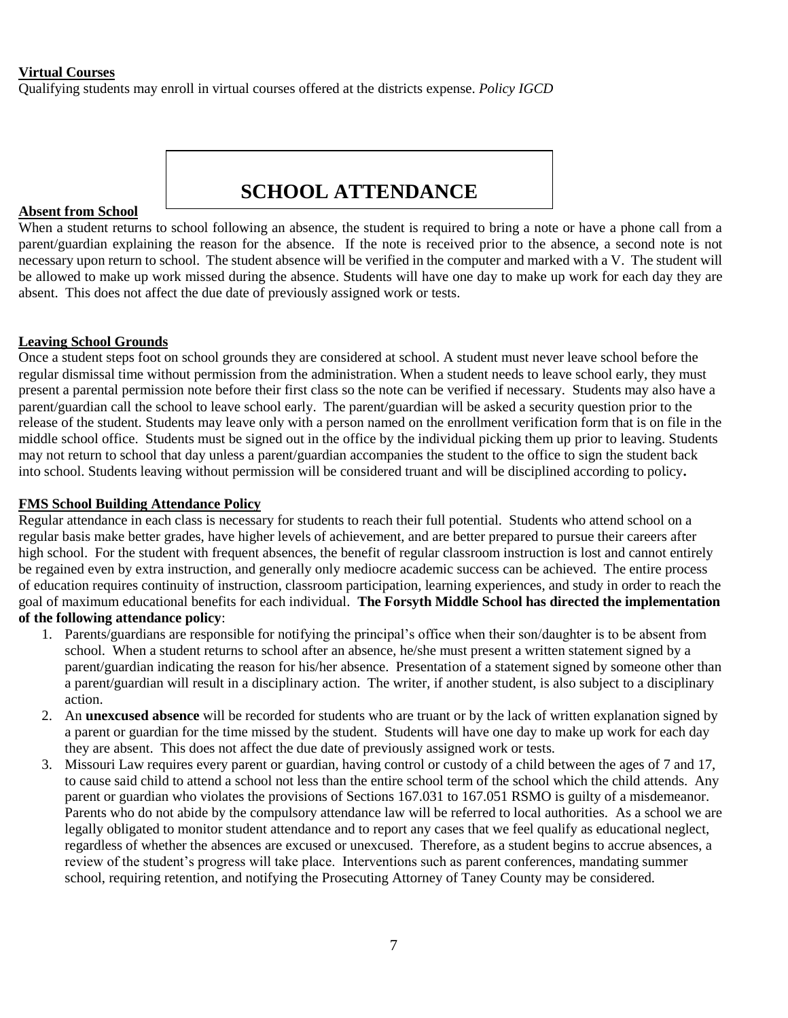#### **Virtual Courses**

Qualifying students may enroll in virtual courses offered at the districts expense. *Policy IGCD*

### **SCHOOL ATTENDANCE**

#### **Absent from School**

When a student returns to school following an absence, the student is required to bring a note or have a phone call from a parent/guardian explaining the reason for the absence. If the note is received prior to the absence, a second note is not necessary upon return to school. The student absence will be verified in the computer and marked with a V. The student will be allowed to make up work missed during the absence. Students will have one day to make up work for each day they are absent. This does not affect the due date of previously assigned work or tests.

#### **Leaving School Grounds**

Once a student steps foot on school grounds they are considered at school. A student must never leave school before the regular dismissal time without permission from the administration. When a student needs to leave school early, they must present a parental permission note before their first class so the note can be verified if necessary. Students may also have a parent/guardian call the school to leave school early. The parent/guardian will be asked a security question prior to the release of the student. Students may leave only with a person named on the enrollment verification form that is on file in the middle school office. Students must be signed out in the office by the individual picking them up prior to leaving. Students may not return to school that day unless a parent/guardian accompanies the student to the office to sign the student back into school. Students leaving without permission will be considered truant and will be disciplined according to policy**.**

#### **FMS School Building Attendance Policy**

Regular attendance in each class is necessary for students to reach their full potential. Students who attend school on a regular basis make better grades, have higher levels of achievement, and are better prepared to pursue their careers after high school. For the student with frequent absences, the benefit of regular classroom instruction is lost and cannot entirely be regained even by extra instruction, and generally only mediocre academic success can be achieved. The entire process of education requires continuity of instruction, classroom participation, learning experiences, and study in order to reach the goal of maximum educational benefits for each individual. **The Forsyth Middle School has directed the implementation of the following attendance policy**:

- 1. Parents/guardians are responsible for notifying the principal's office when their son/daughter is to be absent from school. When a student returns to school after an absence, he/she must present a written statement signed by a parent/guardian indicating the reason for his/her absence. Presentation of a statement signed by someone other than a parent/guardian will result in a disciplinary action. The writer, if another student, is also subject to a disciplinary action.
- 2. An **unexcused absence** will be recorded for students who are truant or by the lack of written explanation signed by a parent or guardian for the time missed by the student. Students will have one day to make up work for each day they are absent. This does not affect the due date of previously assigned work or tests.
- 3. Missouri Law requires every parent or guardian, having control or custody of a child between the ages of 7 and 17, to cause said child to attend a school not less than the entire school term of the school which the child attends. Any parent or guardian who violates the provisions of Sections 167.031 to 167.051 RSMO is guilty of a misdemeanor. Parents who do not abide by the compulsory attendance law will be referred to local authorities. As a school we are legally obligated to monitor student attendance and to report any cases that we feel qualify as educational neglect, regardless of whether the absences are excused or unexcused. Therefore, as a student begins to accrue absences, a review of the student's progress will take place. Interventions such as parent conferences, mandating summer school, requiring retention, and notifying the Prosecuting Attorney of Taney County may be considered.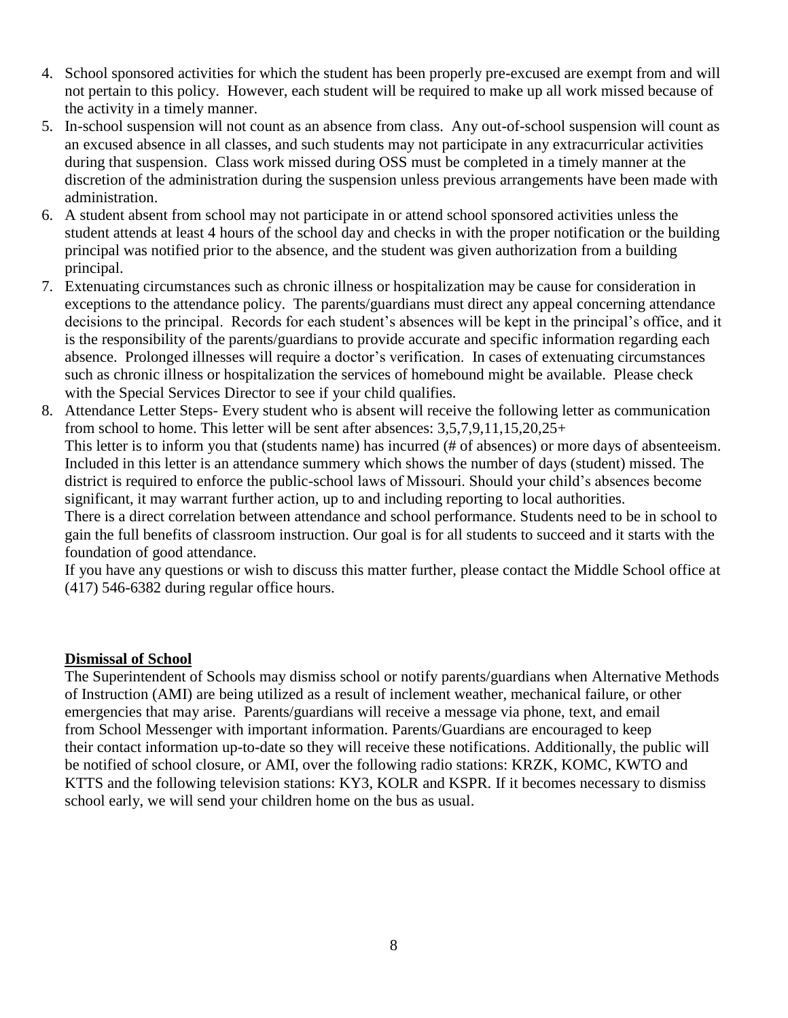- 4. School sponsored activities for which the student has been properly pre-excused are exempt from and will not pertain to this policy. However, each student will be required to make up all work missed because of the activity in a timely manner.
- 5. In-school suspension will not count as an absence from class. Any out-of-school suspension will count as an excused absence in all classes, and such students may not participate in any extracurricular activities during that suspension. Class work missed during OSS must be completed in a timely manner at the discretion of the administration during the suspension unless previous arrangements have been made with administration.
- 6. A student absent from school may not participate in or attend school sponsored activities unless the student attends at least 4 hours of the school day and checks in with the proper notification or the building principal was notified prior to the absence, and the student was given authorization from a building principal.
- 7. Extenuating circumstances such as chronic illness or hospitalization may be cause for consideration in exceptions to the attendance policy. The parents/guardians must direct any appeal concerning attendance decisions to the principal. Records for each student's absences will be kept in the principal's office, and it is the responsibility of the parents/guardians to provide accurate and specific information regarding each absence. Prolonged illnesses will require a doctor's verification. In cases of extenuating circumstances such as chronic illness or hospitalization the services of homebound might be available. Please check with the Special Services Director to see if your child qualifies.
- 8. Attendance Letter Steps- Every student who is absent will receive the following letter as communication from school to home. This letter will be sent after absences: 3,5,7,9,11,15,20,25+

This letter is to inform you that (students name) has incurred (# of absences) or more days of absenteeism. Included in this letter is an attendance summery which shows the number of days (student) missed. The district is required to enforce the public-school laws of Missouri. Should your child's absences become significant, it may warrant further action, up to and including reporting to local authorities.

There is a direct correlation between attendance and school performance. Students need to be in school to gain the full benefits of classroom instruction. Our goal is for all students to succeed and it starts with the foundation of good attendance.

If you have any questions or wish to discuss this matter further, please contact the Middle School office at (417) 546-6382 during regular office hours.

#### **Dismissal of School**

The Superintendent of Schools may dismiss school or notify parents/guardians when Alternative Methods of Instruction (AMI) are being utilized as a result of inclement weather, mechanical failure, or other emergencies that may arise. Parents/guardians will receive a message via phone, text, and email from School Messenger with important information. Parents/Guardians are encouraged to keep their contact information up-to-date so they will receive these notifications. Additionally, the public will be notified of school closure, or AMI, over the following radio stations: KRZK, KOMC, KWTO and KTTS and the following television stations: KY3, KOLR and KSPR. If it becomes necessary to dismiss school early, we will send your children home on the bus as usual.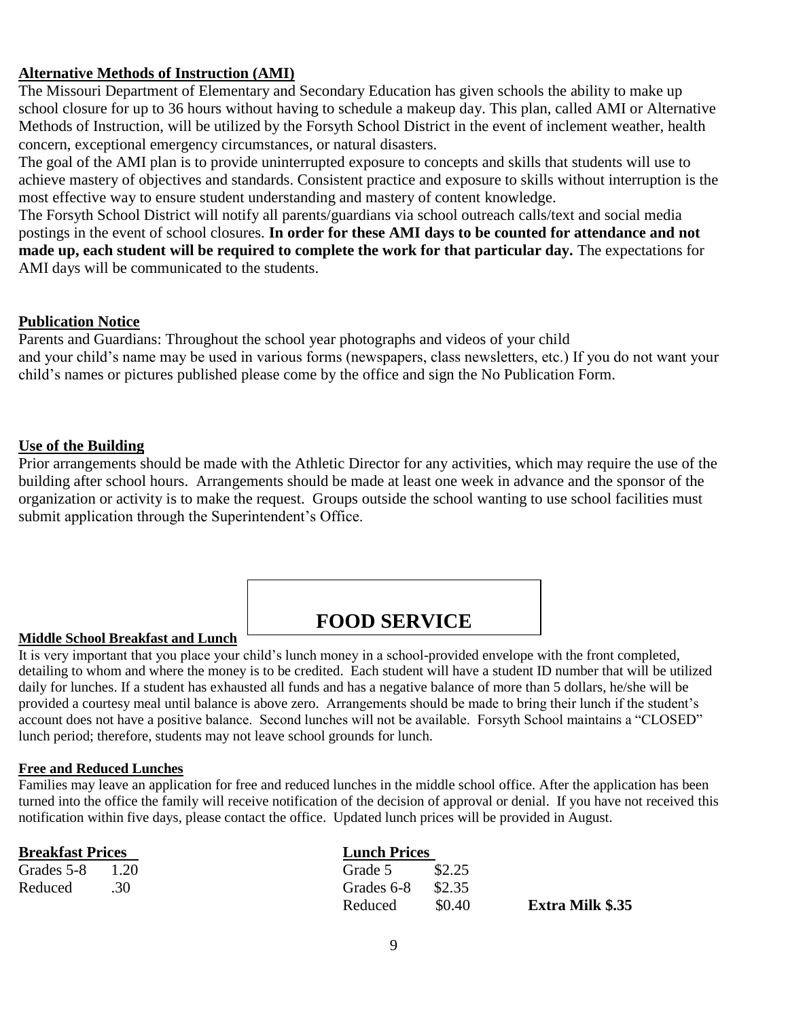#### <span id="page-9-0"></span>**Alternative Methods of Instruction (AMI)**

The Missouri Department of Elementary and Secondary Education has given schools the ability to make up school closure for up to 36 hours without having to schedule a makeup day. This plan, called AMI or Alternative Methods of Instruction, will be utilized by the Forsyth School District in the event of inclement weather, health concern, exceptional emergency circumstances, or natural disasters.

The goal of the AMI plan is to provide uninterrupted exposure to concepts and skills that students will use to achieve mastery of objectives and standards. Consistent practice and exposure to skills without interruption is the most effective way to ensure student understanding and mastery of content knowledge.

The Forsyth School District will notify all parents/guardians via school outreach calls/text and social media postings in the event of school closures. **In order for these AMI days to be counted for attendance and not made up, each student will be required to complete the work for that particular day.** The expectations for AMI days will be communicated to the students.

#### **Publication Notice**

Parents and Guardians: Throughout the school year photographs and videos of your child and your child's name may be used in various forms (newspapers, class newsletters, etc.) If you do not want your child's names or pictures published please come by the office and sign the No Publication Form.

#### **Use of the Building**

Prior arrangements should be made with the Athletic Director for any activities, which may require the use of the building after school hours. Arrangements should be made at least one week in advance and the sponsor of the organization or activity is to make the request. Groups outside the school wanting to use school facilities must submit application through the Superintendent's Office.

### **FOOD SERVICE**

#### **Middle School Breakfast and Lunch**

It is very important that you place your child's lunch money in a school-provided envelope with the front completed, detailing to whom and where the money is to be credited. Each student will have a student ID number that will be utilized daily for lunches. If a student has exhausted all funds and has a negative balance of more than 5 dollars, he/she will be provided a courtesy meal until balance is above zero. Arrangements should be made to bring their lunch if the student's account does not have a positive balance. Second lunches will not be available. Forsyth School maintains a "CLOSED" lunch period; therefore, students may not leave school grounds for lunch.

#### **Free and Reduced Lunches**

Families may leave an application for free and reduced lunches in the middle school office. After the application has been turned into the office the family will receive notification of the decision of approval or denial. If you have not received this notification within five days, please contact the office. Updated lunch prices will be provided in August.

| <b>Breakfast Prices</b> |         | <b>Lunch Prices</b> |        |                         |
|-------------------------|---------|---------------------|--------|-------------------------|
| Grades 5-8              | $-1.20$ | Grade 5             | \$2.25 |                         |
| Reduced                 |         | Grades 6-8          | \$2.35 |                         |
|                         |         | Reduced             | \$0.40 | <b>Extra Milk \$.35</b> |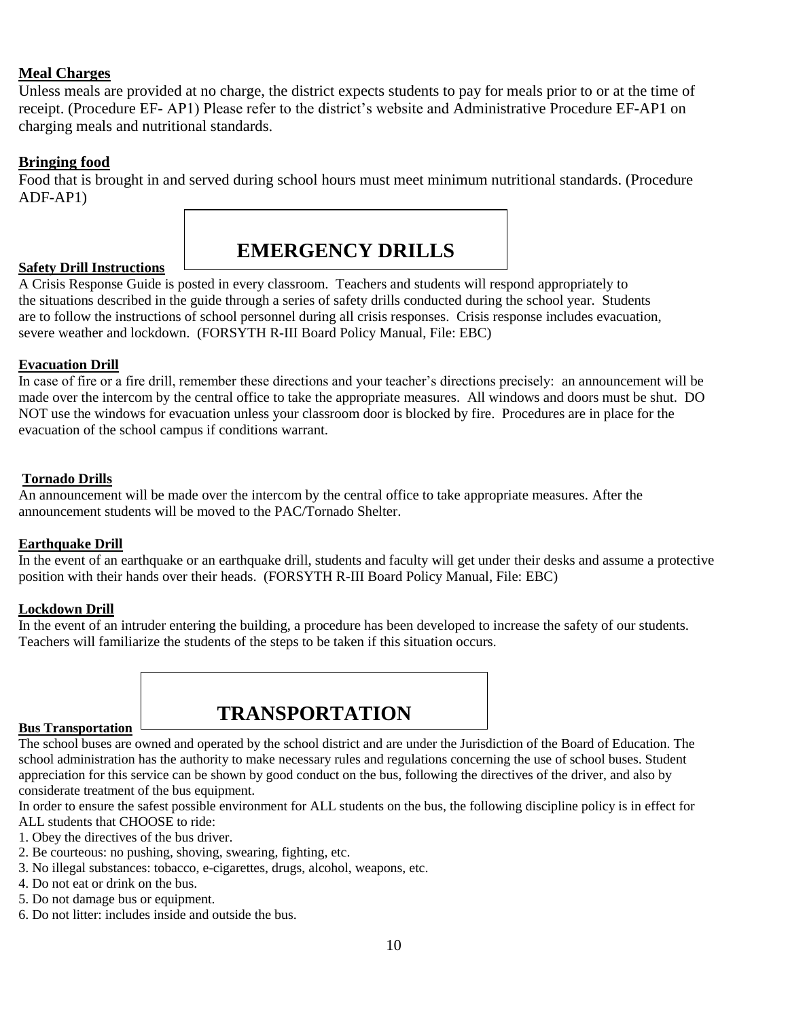#### **Meal Charges**

Unless meals are provided at no charge, the district expects students to pay for meals prior to or at the time of receipt. (Procedure EF- AP1) Please refer to the district's website and Administrative Procedure EF-AP1 on charging meals and nutritional standards.

#### **Bringing food**

Food that is brought in and served during school hours must meet minimum nutritional standards. (Procedure ADF-AP1)



#### <span id="page-10-0"></span>**Safety Drill Instructions**

A Crisis Response Guide is posted in every classroom. Teachers and students will respond appropriately to the situations described in the guide through a series of safety drills conducted during the school year. Students are to follow the instructions of school personnel during all crisis responses. Crisis response includes evacuation, severe weather and lockdown. (FORSYTH R-III Board Policy Manual, File: EBC)

#### **Evacuation Drill**

In case of fire or a fire drill, remember these directions and your teacher's directions precisely: an announcement will be made over the intercom by the central office to take the appropriate measures. All windows and doors must be shut. DO NOT use the windows for evacuation unless your classroom door is blocked by fire. Procedures are in place for the evacuation of the school campus if conditions warrant.

#### **Tornado Drills**

An announcement will be made over the intercom by the central office to take appropriate measures. After the announcement students will be moved to the PAC/Tornado Shelter.

#### **Earthquake Drill**

In the event of an earthquake or an earthquake drill, students and faculty will get under their desks and assume a protective position with their hands over their heads. (FORSYTH R-III Board Policy Manual, File: EBC)

#### **Lockdown Drill**

In the event of an intruder entering the building, a procedure has been developed to increase the safety of our students. Teachers will familiarize the students of the steps to be taken if this situation occurs.

### <span id="page-10-1"></span>**Bus Transportation**

**TRANSPORTATION**

The school buses are owned and operated by the school district and are under the Jurisdiction of the Board of Education. The school administration has the authority to make necessary rules and regulations concerning the use of school buses. Student appreciation for this service can be shown by good conduct on the bus, following the directives of the driver, and also by considerate treatment of the bus equipment.

In order to ensure the safest possible environment for ALL students on the bus, the following discipline policy is in effect for ALL students that CHOOSE to ride:

- 1. Obey the directives of the bus driver.
- 2. Be courteous: no pushing, shoving, swearing, fighting, etc.
- 3. No illegal substances: tobacco, e-cigarettes, drugs, alcohol, weapons, etc.
- 4. Do not eat or drink on the bus.
- 5. Do not damage bus or equipment.
- 6. Do not litter: includes inside and outside the bus.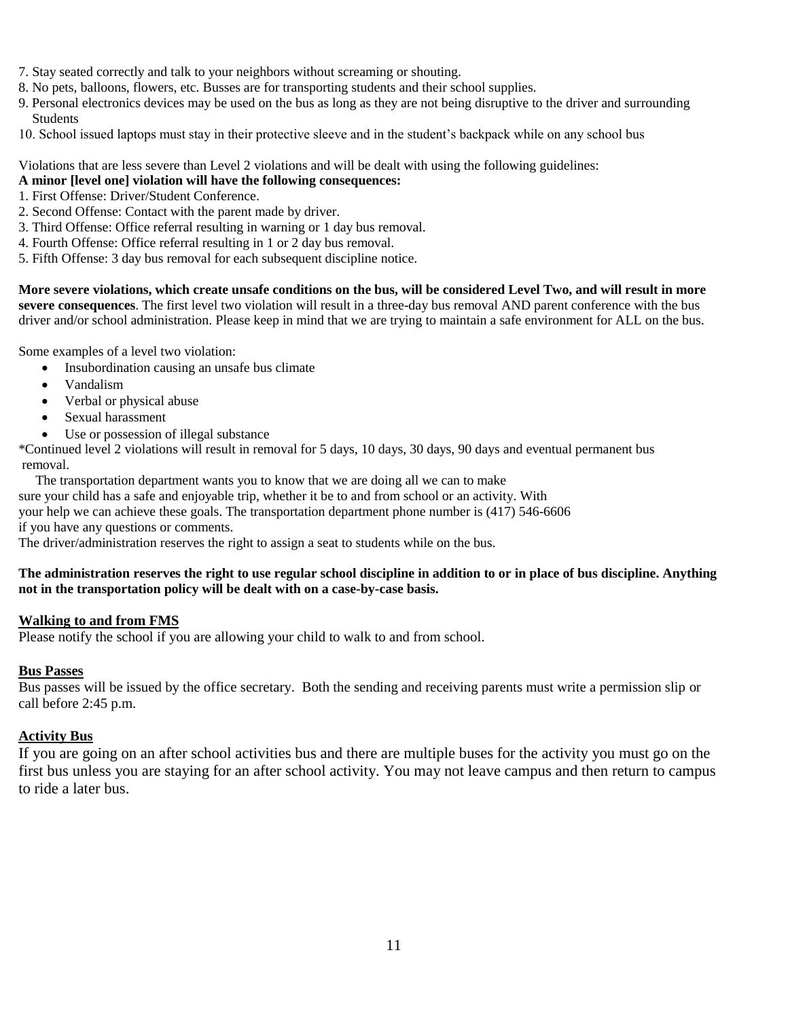- 7. Stay seated correctly and talk to your neighbors without screaming or shouting.
- 8. No pets, balloons, flowers, etc. Busses are for transporting students and their school supplies.
- 9. Personal electronics devices may be used on the bus as long as they are not being disruptive to the driver and surrounding Students
- 10. School issued laptops must stay in their protective sleeve and in the student's backpack while on any school bus

#### Violations that are less severe than Level 2 violations and will be dealt with using the following guidelines:

#### **A minor [level one] violation will have the following consequences:**

- 1. First Offense: Driver/Student Conference.
- 2. Second Offense: Contact with the parent made by driver.
- 3. Third Offense: Office referral resulting in warning or 1 day bus removal.
- 4. Fourth Offense: Office referral resulting in 1 or 2 day bus removal.
- 5. Fifth Offense: 3 day bus removal for each subsequent discipline notice.

**More severe violations, which create unsafe conditions on the bus, will be considered Level Two, and will result in more severe consequences**. The first level two violation will result in a three-day bus removal AND parent conference with the bus driver and/or school administration. Please keep in mind that we are trying to maintain a safe environment for ALL on the bus.

Some examples of a level two violation:

- Insubordination causing an unsafe bus climate
- Vandalism
- Verbal or physical abuse
- Sexual harassment
- Use or possession of illegal substance

\*Continued level 2 violations will result in removal for 5 days, 10 days, 30 days, 90 days and eventual permanent bus removal.

The transportation department wants you to know that we are doing all we can to make

sure your child has a safe and enjoyable trip, whether it be to and from school or an activity. With

your help we can achieve these goals. The transportation department phone number is (417) 546-6606 if you have any questions or comments.

The driver/administration reserves the right to assign a seat to students while on the bus.

#### **The administration reserves the right to use regular school discipline in addition to or in place of bus discipline. Anything not in the transportation policy will be dealt with on a case-by-case basis.**

#### **Walking to and from FMS**

Please notify the school if you are allowing your child to walk to and from school.

#### **Bus Passes**

Bus passes will be issued by the office secretary. Both the sending and receiving parents must write a permission slip or call before 2:45 p.m.

#### **Activity Bus**

If you are going on an after school activities bus and there are multiple buses for the activity you must go on the first bus unless you are staying for an after school activity. You may not leave campus and then return to campus to ride a later bus.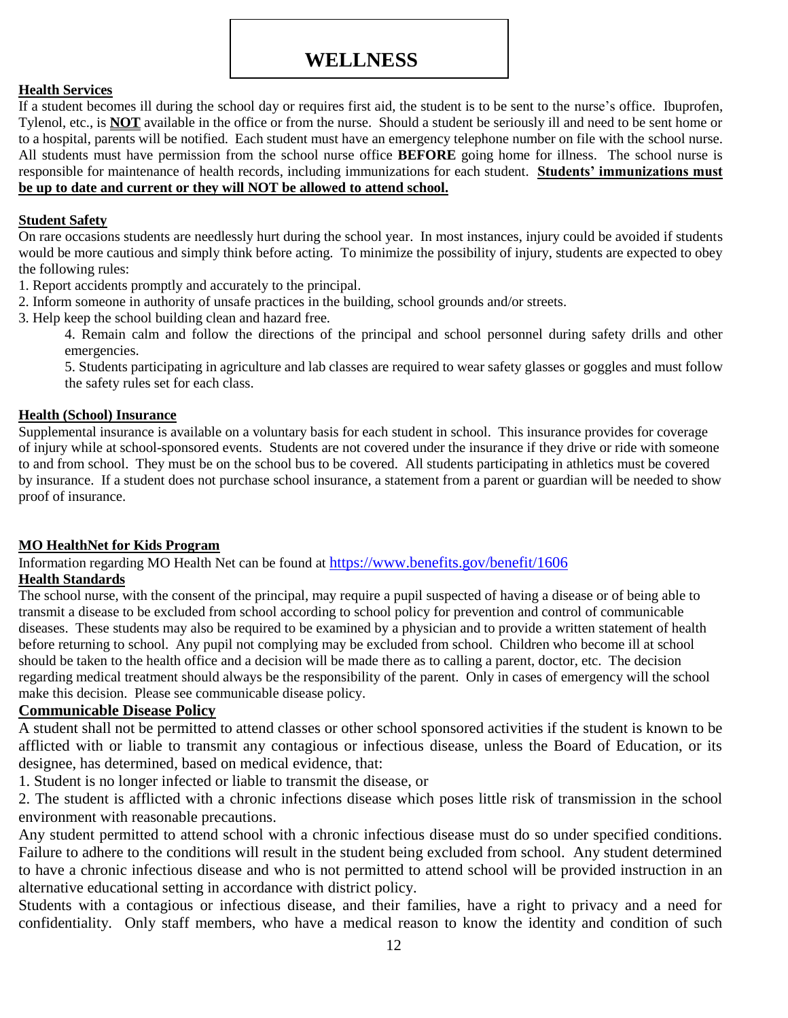### **WELLNESS**

#### **Health Services**

If a student becomes ill during the school day or requires first aid, the student is to be sent to the nurse's office. Ibuprofen, Tylenol, etc., is **NOT** available in the office or from the nurse. Should a student be seriously ill and need to be sent home or to a hospital, parents will be notified. Each student must have an emergency telephone number on file with the school nurse. All students must have permission from the school nurse office **BEFORE** going home for illness. The school nurse is responsible for maintenance of health records, including immunizations for each student. **Students' immunizations must be up to date and current or they will NOT be allowed to attend school.**

#### **Student Safety**

On rare occasions students are needlessly hurt during the school year. In most instances, injury could be avoided if students would be more cautious and simply think before acting. To minimize the possibility of injury, students are expected to obey the following rules:

- 1. Report accidents promptly and accurately to the principal.
- 2. Inform someone in authority of unsafe practices in the building, school grounds and/or streets.
- 3. Help keep the school building clean and hazard free.

4. Remain calm and follow the directions of the principal and school personnel during safety drills and other emergencies.

5. Students participating in agriculture and lab classes are required to wear safety glasses or goggles and must follow the safety rules set for each class.

#### **Health (School) Insurance**

Supplemental insurance is available on a voluntary basis for each student in school. This insurance provides for coverage of injury while at school-sponsored events. Students are not covered under the insurance if they drive or ride with someone to and from school. They must be on the school bus to be covered. All students participating in athletics must be covered by insurance. If a student does not purchase school insurance, a statement from a parent or guardian will be needed to show proof of insurance.

#### **MO HealthNet for Kids Program**

Information regarding MO Health Net can be found at <https://www.benefits.gov/benefit/1606>

#### **Health Standards**

The school nurse, with the consent of the principal, may require a pupil suspected of having a disease or of being able to transmit a disease to be excluded from school according to school policy for prevention and control of communicable diseases. These students may also be required to be examined by a physician and to provide a written statement of health before returning to school. Any pupil not complying may be excluded from school. Children who become ill at school should be taken to the health office and a decision will be made there as to calling a parent, doctor, etc. The decision regarding medical treatment should always be the responsibility of the parent. Only in cases of emergency will the school make this decision. Please see communicable disease policy.

#### **Communicable Disease Policy**

A student shall not be permitted to attend classes or other school sponsored activities if the student is known to be afflicted with or liable to transmit any contagious or infectious disease, unless the Board of Education, or its designee, has determined, based on medical evidence, that:

1. Student is no longer infected or liable to transmit the disease, or

2. The student is afflicted with a chronic infections disease which poses little risk of transmission in the school environment with reasonable precautions.

Any student permitted to attend school with a chronic infectious disease must do so under specified conditions. Failure to adhere to the conditions will result in the student being excluded from school. Any student determined to have a chronic infectious disease and who is not permitted to attend school will be provided instruction in an alternative educational setting in accordance with district policy.

Students with a contagious or infectious disease, and their families, have a right to privacy and a need for confidentiality. Only staff members, who have a medical reason to know the identity and condition of such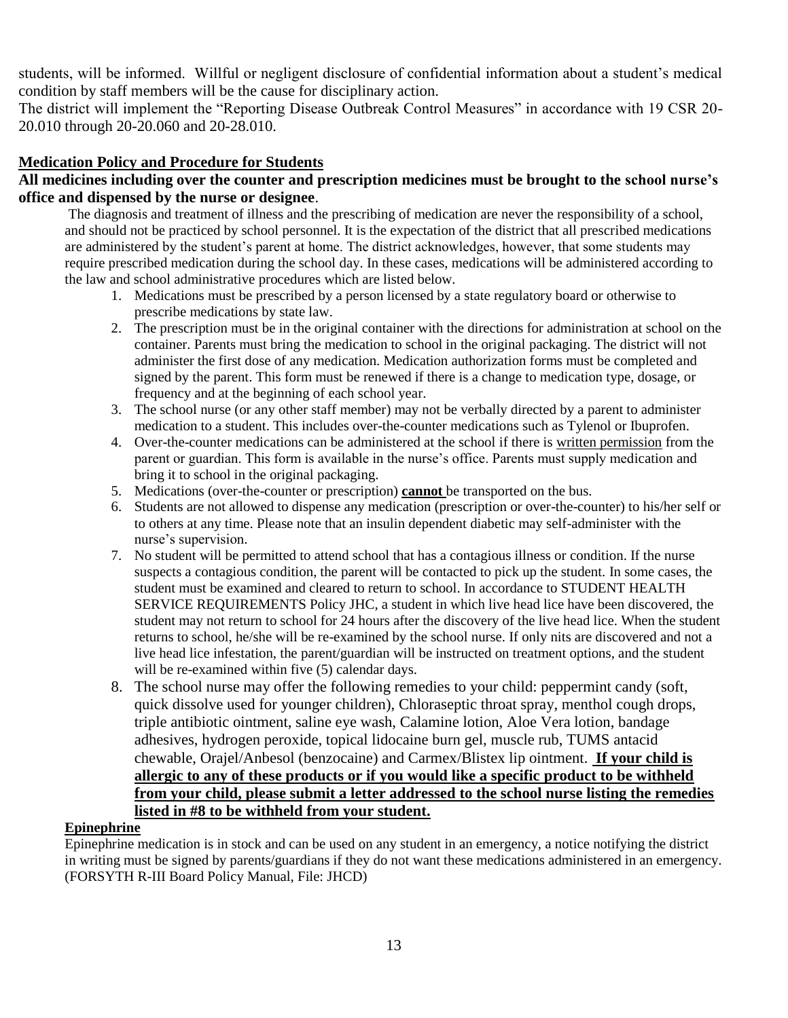students, will be informed. Willful or negligent disclosure of confidential information about a student's medical condition by staff members will be the cause for disciplinary action.

The district will implement the "Reporting Disease Outbreak Control Measures" in accordance with 19 CSR 20- 20.010 through 20-20.060 and 20-28.010.

#### **Medication Policy and Procedure for Students**

#### **All medicines including over the counter and prescription medicines must be brought to the school nurse's office and dispensed by the nurse or designee**.

The diagnosis and treatment of illness and the prescribing of medication are never the responsibility of a school, and should not be practiced by school personnel. It is the expectation of the district that all prescribed medications are administered by the student's parent at home. The district acknowledges, however, that some students may require prescribed medication during the school day. In these cases, medications will be administered according to the law and school administrative procedures which are listed below.

- 1. Medications must be prescribed by a person licensed by a state regulatory board or otherwise to prescribe medications by state law.
- 2. The prescription must be in the original container with the directions for administration at school on the container. Parents must bring the medication to school in the original packaging. The district will not administer the first dose of any medication. Medication authorization forms must be completed and signed by the parent. This form must be renewed if there is a change to medication type, dosage, or frequency and at the beginning of each school year.
- 3. The school nurse (or any other staff member) may not be verbally directed by a parent to administer medication to a student. This includes over-the-counter medications such as Tylenol or Ibuprofen.
- 4. Over-the-counter medications can be administered at the school if there is written permission from the parent or guardian. This form is available in the nurse's office. Parents must supply medication and bring it to school in the original packaging.
- 5. Medications (over-the-counter or prescription) **cannot** be transported on the bus.
- 6. Students are not allowed to dispense any medication (prescription or over-the-counter) to his/her self or to others at any time. Please note that an insulin dependent diabetic may self-administer with the nurse's supervision.
- 7. No student will be permitted to attend school that has a contagious illness or condition. If the nurse suspects a contagious condition, the parent will be contacted to pick up the student. In some cases, the student must be examined and cleared to return to school. In accordance to STUDENT HEALTH SERVICE REQUIREMENTS Policy JHC, a student in which live head lice have been discovered, the student may not return to school for 24 hours after the discovery of the live head lice. When the student returns to school, he/she will be re-examined by the school nurse. If only nits are discovered and not a live head lice infestation, the parent/guardian will be instructed on treatment options, and the student will be re-examined within five (5) calendar days.
- 8. The school nurse may offer the following remedies to your child: peppermint candy (soft, quick dissolve used for younger children), Chloraseptic throat spray, menthol cough drops, triple antibiotic ointment, saline eye wash, Calamine lotion, Aloe Vera lotion, bandage adhesives, hydrogen peroxide, topical lidocaine burn gel, muscle rub, TUMS antacid chewable, Orajel/Anbesol (benzocaine) and Carmex/Blistex lip ointment. **If your child is allergic to any of these products or if you would like a specific product to be withheld from your child, please submit a letter addressed to the school nurse listing the remedies listed in #8 to be withheld from your student.**

#### **Epinephrine**

Epinephrine medication is in stock and can be used on any student in an emergency, a notice notifying the district in writing must be signed by parents/guardians if they do not want these medications administered in an emergency. (FORSYTH R-III Board Policy Manual, File: JHCD)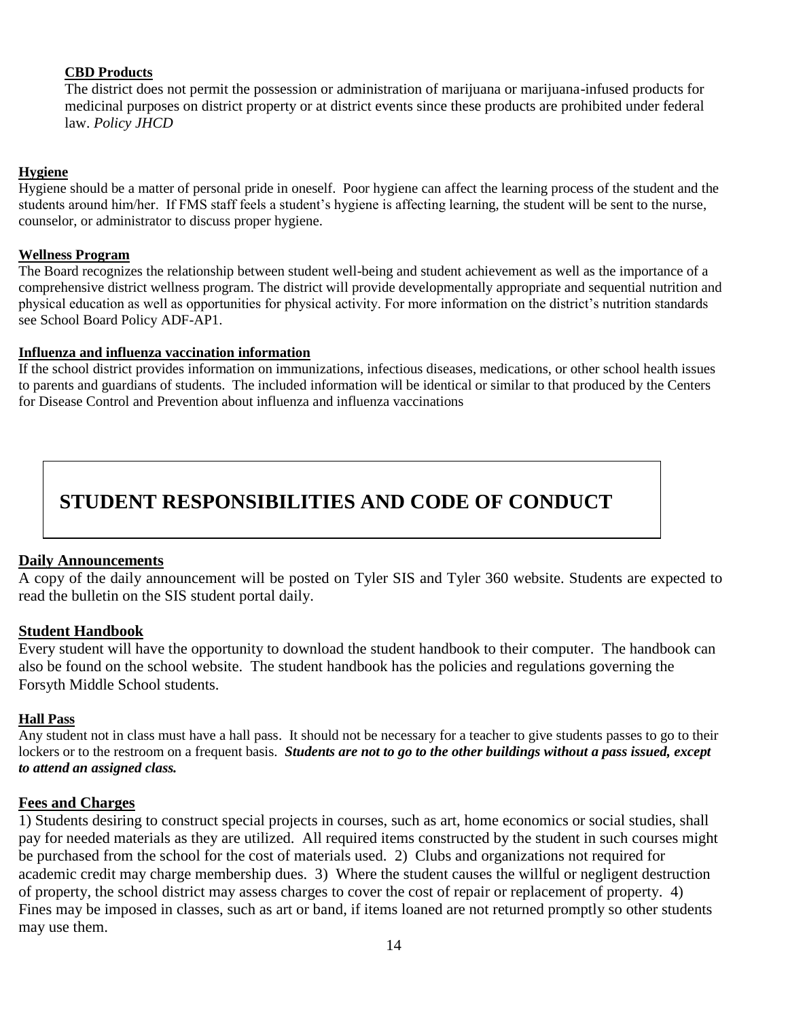#### **CBD Products**

The district does not permit the possession or administration of marijuana or marijuana-infused products for medicinal purposes on district property or at district events since these products are prohibited under federal law. *Policy JHCD*

#### **Hygiene**

Hygiene should be a matter of personal pride in oneself. Poor hygiene can affect the learning process of the student and the students around him/her. If FMS staff feels a student's hygiene is affecting learning, the student will be sent to the nurse, counselor, or administrator to discuss proper hygiene.

#### **Wellness Program**

The Board recognizes the relationship between student well-being and student achievement as well as the importance of a comprehensive district wellness program. The district will provide developmentally appropriate and sequential nutrition and physical education as well as opportunities for physical activity. For more information on the district's nutrition standards see School Board Policy ADF-AP1.

#### **Influenza and influenza vaccination information**

<span id="page-14-0"></span>If the school district provides information on immunizations, infectious diseases, medications, or other school health issues to parents and guardians of students. The included information will be identical or similar to that produced by the Centers for Disease Control and Prevention about influenza and influenza vaccinations

# **STUDENT RESPONSIBILITIES AND CODE OF CONDUCT**

#### **Daily Announcements**

A copy of the daily announcement will be posted on Tyler SIS and Tyler 360 website. Students are expected to read the bulletin on the SIS student portal daily.

#### **Student Handbook**

Every student will have the opportunity to download the student handbook to their computer. The handbook can also be found on the school website. The student handbook has the policies and regulations governing the Forsyth Middle School students.

#### **Hall Pass**

Any student not in class must have a hall pass. It should not be necessary for a teacher to give students passes to go to their lockers or to the restroom on a frequent basis. *Students are not to go to the other buildings without a pass issued, except to attend an assigned class.*

#### **Fees and Charges**

1) Students desiring to construct special projects in courses, such as art, home economics or social studies, shall pay for needed materials as they are utilized. All required items constructed by the student in such courses might be purchased from the school for the cost of materials used. 2) Clubs and organizations not required for academic credit may charge membership dues. 3) Where the student causes the willful or negligent destruction of property, the school district may assess charges to cover the cost of repair or replacement of property. 4) Fines may be imposed in classes, such as art or band, if items loaned are not returned promptly so other students may use them.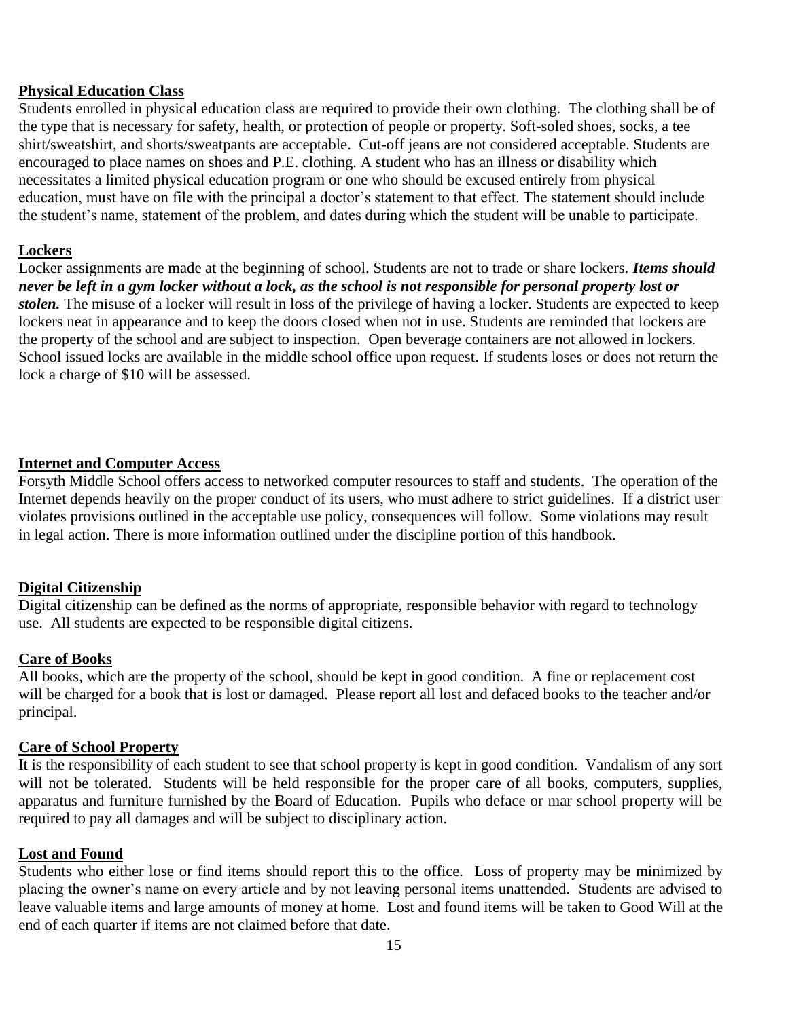#### **Physical Education Class**

Students enrolled in physical education class are required to provide their own clothing. The clothing shall be of the type that is necessary for safety, health, or protection of people or property. Soft-soled shoes, socks, a tee shirt/sweatshirt, and shorts/sweatpants are acceptable. Cut-off jeans are not considered acceptable. Students are encouraged to place names on shoes and P.E. clothing. A student who has an illness or disability which necessitates a limited physical education program or one who should be excused entirely from physical education, must have on file with the principal a doctor's statement to that effect. The statement should include the student's name, statement of the problem, and dates during which the student will be unable to participate.

#### **Lockers**

Locker assignments are made at the beginning of school. Students are not to trade or share lockers. *Items should never be left in a gym locker without a lock, as the school is not responsible for personal property lost or stolen.* The misuse of a locker will result in loss of the privilege of having a locker. Students are expected to keep lockers neat in appearance and to keep the doors closed when not in use. Students are reminded that lockers are the property of the school and are subject to inspection. Open beverage containers are not allowed in lockers. School issued locks are available in the middle school office upon request. If students loses or does not return the lock a charge of \$10 will be assessed.

#### **Internet and Computer Access**

Forsyth Middle School offers access to networked computer resources to staff and students. The operation of the Internet depends heavily on the proper conduct of its users, who must adhere to strict guidelines. If a district user violates provisions outlined in the acceptable use policy, consequences will follow. Some violations may result in legal action. There is more information outlined under the discipline portion of this handbook.

#### **Digital Citizenship**

Digital citizenship can be defined as the norms of appropriate, responsible behavior with regard to technology use. All students are expected to be responsible digital citizens.

#### **Care of Books**

All books, which are the property of the school, should be kept in good condition. A fine or replacement cost will be charged for a book that is lost or damaged. Please report all lost and defaced books to the teacher and/or principal.

#### **Care of School Property**

It is the responsibility of each student to see that school property is kept in good condition. Vandalism of any sort will not be tolerated. Students will be held responsible for the proper care of all books, computers, supplies, apparatus and furniture furnished by the Board of Education. Pupils who deface or mar school property will be required to pay all damages and will be subject to disciplinary action.

#### **Lost and Found**

Students who either lose or find items should report this to the office. Loss of property may be minimized by placing the owner's name on every article and by not leaving personal items unattended. Students are advised to leave valuable items and large amounts of money at home. Lost and found items will be taken to Good Will at the end of each quarter if items are not claimed before that date.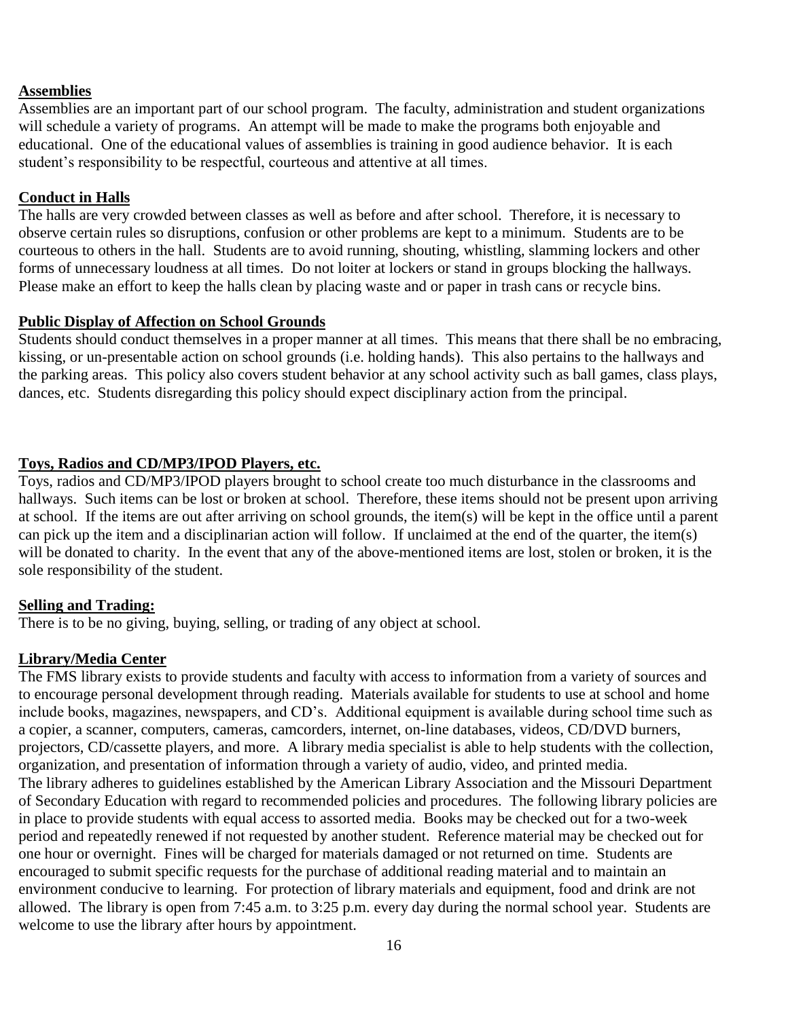#### **Assemblies**

Assemblies are an important part of our school program. The faculty, administration and student organizations will schedule a variety of programs. An attempt will be made to make the programs both enjoyable and educational. One of the educational values of assemblies is training in good audience behavior. It is each student's responsibility to be respectful, courteous and attentive at all times.

#### **Conduct in Halls**

The halls are very crowded between classes as well as before and after school. Therefore, it is necessary to observe certain rules so disruptions, confusion or other problems are kept to a minimum. Students are to be courteous to others in the hall. Students are to avoid running, shouting, whistling, slamming lockers and other forms of unnecessary loudness at all times. Do not loiter at lockers or stand in groups blocking the hallways. Please make an effort to keep the halls clean by placing waste and or paper in trash cans or recycle bins.

#### **Public Display of Affection on School Grounds**

Students should conduct themselves in a proper manner at all times. This means that there shall be no embracing, kissing, or un-presentable action on school grounds (i.e. holding hands). This also pertains to the hallways and the parking areas. This policy also covers student behavior at any school activity such as ball games, class plays, dances, etc. Students disregarding this policy should expect disciplinary action from the principal.

#### **Toys, Radios and CD/MP3/IPOD Players, etc.**

Toys, radios and CD/MP3/IPOD players brought to school create too much disturbance in the classrooms and hallways. Such items can be lost or broken at school. Therefore, these items should not be present upon arriving at school. If the items are out after arriving on school grounds, the item(s) will be kept in the office until a parent can pick up the item and a disciplinarian action will follow. If unclaimed at the end of the quarter, the item(s) will be donated to charity. In the event that any of the above-mentioned items are lost, stolen or broken, it is the sole responsibility of the student.

#### **Selling and Trading:**

There is to be no giving, buying, selling, or trading of any object at school.

#### **Library/Media Center**

The FMS library exists to provide students and faculty with access to information from a variety of sources and to encourage personal development through reading. Materials available for students to use at school and home include books, magazines, newspapers, and CD's. Additional equipment is available during school time such as a copier, a scanner, computers, cameras, camcorders, internet, on-line databases, videos, CD/DVD burners, projectors, CD/cassette players, and more. A library media specialist is able to help students with the collection, organization, and presentation of information through a variety of audio, video, and printed media. The library adheres to guidelines established by the American Library Association and the Missouri Department of Secondary Education with regard to recommended policies and procedures. The following library policies are in place to provide students with equal access to assorted media. Books may be checked out for a two-week period and repeatedly renewed if not requested by another student. Reference material may be checked out for one hour or overnight. Fines will be charged for materials damaged or not returned on time. Students are encouraged to submit specific requests for the purchase of additional reading material and to maintain an environment conducive to learning. For protection of library materials and equipment, food and drink are not allowed. The library is open from 7:45 a.m. to 3:25 p.m. every day during the normal school year. Students are welcome to use the library after hours by appointment.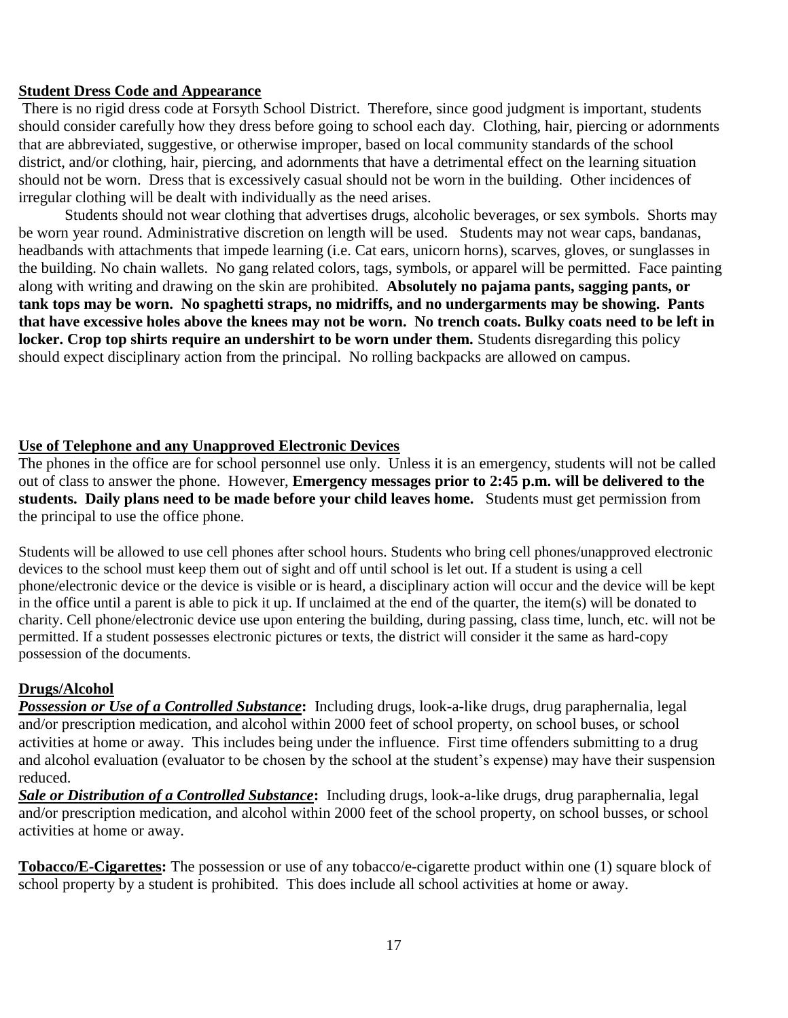#### **Student Dress Code and Appearance**

There is no rigid dress code at Forsyth School District. Therefore, since good judgment is important, students should consider carefully how they dress before going to school each day. Clothing, hair, piercing or adornments that are abbreviated, suggestive, or otherwise improper, based on local community standards of the school district, and/or clothing, hair, piercing, and adornments that have a detrimental effect on the learning situation should not be worn. Dress that is excessively casual should not be worn in the building. Other incidences of irregular clothing will be dealt with individually as the need arises.

Students should not wear clothing that advertises drugs, alcoholic beverages, or sex symbols. Shorts may be worn year round. Administrative discretion on length will be used. Students may not wear caps, bandanas, headbands with attachments that impede learning (i.e. Cat ears, unicorn horns), scarves, gloves, or sunglasses in the building. No chain wallets. No gang related colors, tags, symbols, or apparel will be permitted. Face painting along with writing and drawing on the skin are prohibited. **Absolutely no pajama pants, sagging pants, or tank tops may be worn. No spaghetti straps, no midriffs, and no undergarments may be showing. Pants that have excessive holes above the knees may not be worn. No trench coats. Bulky coats need to be left in locker. Crop top shirts require an undershirt to be worn under them.** Students disregarding this policy should expect disciplinary action from the principal. No rolling backpacks are allowed on campus.

#### **Use of Telephone and any Unapproved Electronic Devices**

The phones in the office are for school personnel use only. Unless it is an emergency, students will not be called out of class to answer the phone. However, **Emergency messages prior to 2:45 p.m. will be delivered to the students. Daily plans need to be made before your child leaves home.** Students must get permission from the principal to use the office phone.

Students will be allowed to use cell phones after school hours. Students who bring cell phones/unapproved electronic devices to the school must keep them out of sight and off until school is let out. If a student is using a cell phone/electronic device or the device is visible or is heard, a disciplinary action will occur and the device will be kept in the office until a parent is able to pick it up. If unclaimed at the end of the quarter, the item(s) will be donated to charity. Cell phone/electronic device use upon entering the building, during passing, class time, lunch, etc. will not be permitted. If a student possesses electronic pictures or texts, the district will consider it the same as hard-copy possession of the documents.

#### **Drugs/Alcohol**

*Possession or Use of a Controlled Substance***:** Including drugs, look-a-like drugs, drug paraphernalia, legal and/or prescription medication, and alcohol within 2000 feet of school property, on school buses, or school activities at home or away. This includes being under the influence. First time offenders submitting to a drug and alcohol evaluation (evaluator to be chosen by the school at the student's expense) may have their suspension reduced.

*Sale or Distribution of a Controlled Substance***:** Including drugs, look-a-like drugs, drug paraphernalia, legal and/or prescription medication, and alcohol within 2000 feet of the school property, on school busses, or school activities at home or away.

**Tobacco/E-Cigarettes:** The possession or use of any tobacco/e-cigarette product within one (1) square block of school property by a student is prohibited. This does include all school activities at home or away.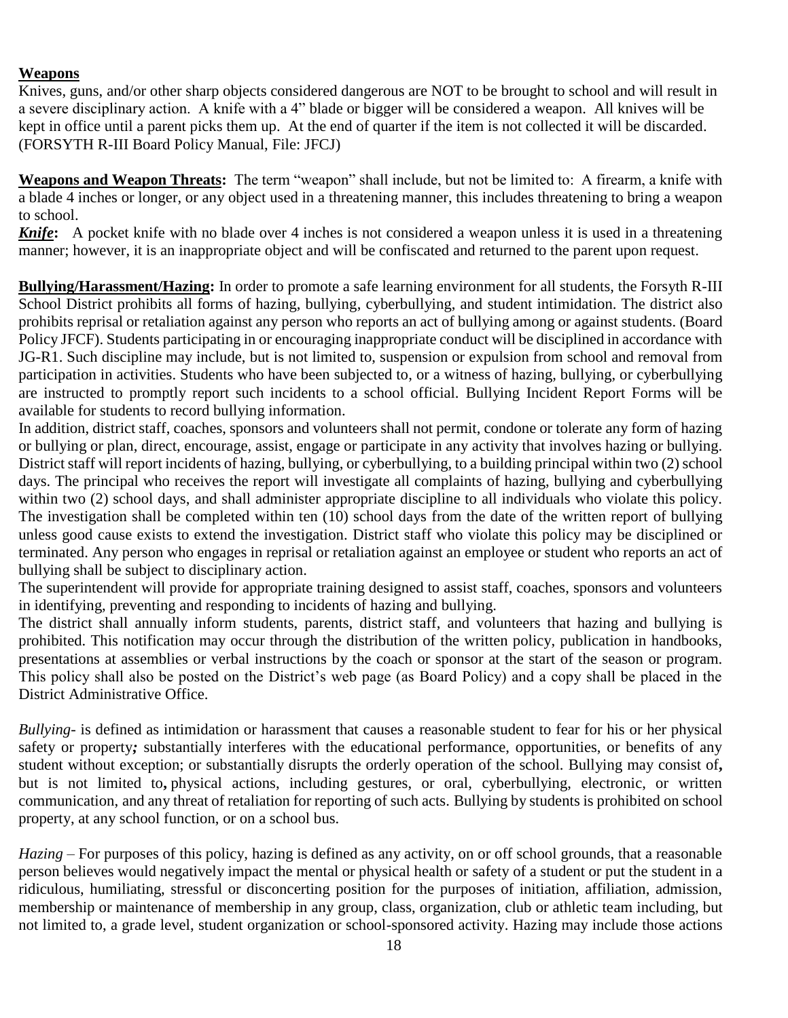#### **Weapons**

Knives, guns, and/or other sharp objects considered dangerous are NOT to be brought to school and will result in a severe disciplinary action. A knife with a 4" blade or bigger will be considered a weapon. All knives will be kept in office until a parent picks them up. At the end of quarter if the item is not collected it will be discarded. (FORSYTH R-III Board Policy Manual, File: JFCJ)

**Weapons and Weapon Threats:** The term "weapon" shall include, but not be limited to: A firearm, a knife with a blade 4 inches or longer, or any object used in a threatening manner, this includes threatening to bring a weapon to school.

*Knife***:** A pocket knife with no blade over 4 inches is not considered a weapon unless it is used in a threatening manner; however, it is an inappropriate object and will be confiscated and returned to the parent upon request.

**Bullying/Harassment/Hazing:** In order to promote a safe learning environment for all students, the Forsyth R-III School District prohibits all forms of hazing, bullying, cyberbullying, and student intimidation. The district also prohibits reprisal or retaliation against any person who reports an act of bullying among or against students. (Board Policy JFCF). Students participating in or encouraging inappropriate conduct will be disciplined in accordance with JG-R1. Such discipline may include, but is not limited to, suspension or expulsion from school and removal from participation in activities. Students who have been subjected to, or a witness of hazing, bullying, or cyberbullying are instructed to promptly report such incidents to a school official. Bullying Incident Report Forms will be available for students to record bullying information.

In addition, district staff, coaches, sponsors and volunteers shall not permit, condone or tolerate any form of hazing or bullying or plan, direct, encourage, assist, engage or participate in any activity that involves hazing or bullying. District staff will report incidents of hazing, bullying, or cyberbullying, to a building principal within two (2) school days. The principal who receives the report will investigate all complaints of hazing, bullying and cyberbullying within two (2) school days, and shall administer appropriate discipline to all individuals who violate this policy. The investigation shall be completed within ten (10) school days from the date of the written report of bullying unless good cause exists to extend the investigation. District staff who violate this policy may be disciplined or terminated. Any person who engages in reprisal or retaliation against an employee or student who reports an act of bullying shall be subject to disciplinary action.

The superintendent will provide for appropriate training designed to assist staff, coaches, sponsors and volunteers in identifying, preventing and responding to incidents of hazing and bullying.

The district shall annually inform students, parents, district staff, and volunteers that hazing and bullying is prohibited. This notification may occur through the distribution of the written policy, publication in handbooks, presentations at assemblies or verbal instructions by the coach or sponsor at the start of the season or program. This policy shall also be posted on the District's web page (as Board Policy) and a copy shall be placed in the District Administrative Office.

*Bullying*- is defined as intimidation or harassment that causes a reasonable student to fear for his or her physical safety or property*;* substantially interferes with the educational performance, opportunities, or benefits of any student without exception; or substantially disrupts the orderly operation of the school. Bullying may consist of**,**  but is not limited to**,** physical actions, including gestures, or oral, cyberbullying, electronic, or written communication, and any threat of retaliation for reporting of such acts. Bullying by students is prohibited on school property, at any school function, or on a school bus.

*Hazing* – For purposes of this policy, hazing is defined as any activity, on or off school grounds, that a reasonable person believes would negatively impact the mental or physical health or safety of a student or put the student in a ridiculous, humiliating, stressful or disconcerting position for the purposes of initiation, affiliation, admission, membership or maintenance of membership in any group, class, organization, club or athletic team including, but not limited to, a grade level, student organization or school-sponsored activity. Hazing may include those actions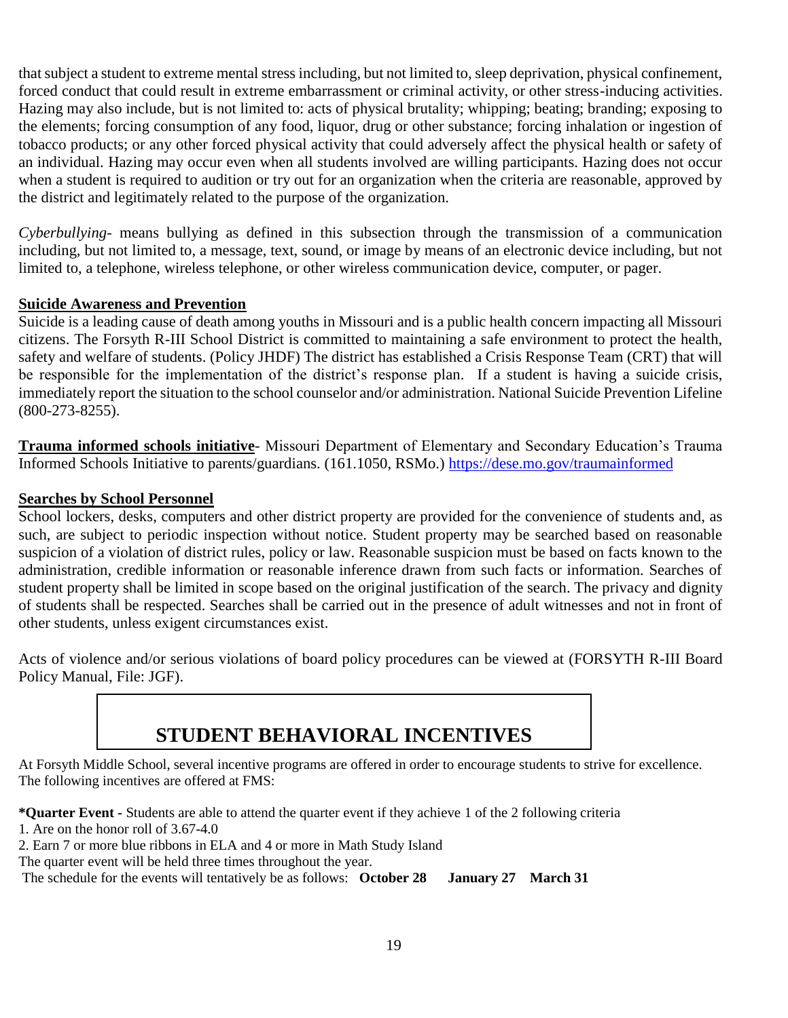that subject a student to extreme mental stress including, but not limited to, sleep deprivation, physical confinement, forced conduct that could result in extreme embarrassment or criminal activity, or other stress-inducing activities. Hazing may also include, but is not limited to: acts of physical brutality; whipping; beating; branding; exposing to the elements; forcing consumption of any food, liquor, drug or other substance; forcing inhalation or ingestion of tobacco products; or any other forced physical activity that could adversely affect the physical health or safety of an individual. Hazing may occur even when all students involved are willing participants. Hazing does not occur when a student is required to audition or try out for an organization when the criteria are reasonable, approved by the district and legitimately related to the purpose of the organization.

*Cyberbullying*- means bullying as defined in this subsection through the transmission of a communication including, but not limited to, a message, text, sound, or image by means of an electronic device including, but not limited to, a telephone, wireless telephone, or other wireless communication device, computer, or pager.

#### **Suicide Awareness and Prevention**

Suicide is a leading cause of death among youths in Missouri and is a public health concern impacting all Missouri citizens. The Forsyth R-III School District is committed to maintaining a safe environment to protect the health, safety and welfare of students. (Policy JHDF) The district has established a Crisis Response Team (CRT) that will be responsible for the implementation of the district's response plan. If a student is having a suicide crisis, immediately report the situation to the school counselor and/or administration. National Suicide Prevention Lifeline (800-273-8255).

**Trauma informed schools initiative**- Missouri Department of Elementary and Secondary Education's Trauma Informed Schools Initiative to parents/guardians. (161.1050, RSMo.)<https://dese.mo.gov/traumainformed>

#### **Searches by School Personnel**

School lockers, desks, computers and other district property are provided for the convenience of students and, as such, are subject to periodic inspection without notice. Student property may be searched based on reasonable suspicion of a violation of district rules, policy or law. Reasonable suspicion must be based on facts known to the administration, credible information or reasonable inference drawn from such facts or information. Searches of student property shall be limited in scope based on the original justification of the search. The privacy and dignity of students shall be respected. Searches shall be carried out in the presence of adult witnesses and not in front of other students, unless exigent circumstances exist.

Acts of violence and/or serious violations of board policy procedures can be viewed at (FORSYTH R-III Board Policy Manual, File: JGF).

# **STUDENT BEHAVIORAL INCENTIVES**

<span id="page-19-0"></span>At Forsyth Middle School, several incentive programs are offered in order to encourage students to strive for excellence. The following incentives are offered at FMS:

**\*Quarter Event -** Students are able to attend the quarter event if they achieve 1 of the 2 following criteria

- 1. Are on the honor roll of 3.67-4.0
- 2. Earn 7 or more blue ribbons in ELA and 4 or more in Math Study Island

The quarter event will be held three times throughout the year.

The schedule for the events will tentatively be as follows: **October 28 January 27 March 31**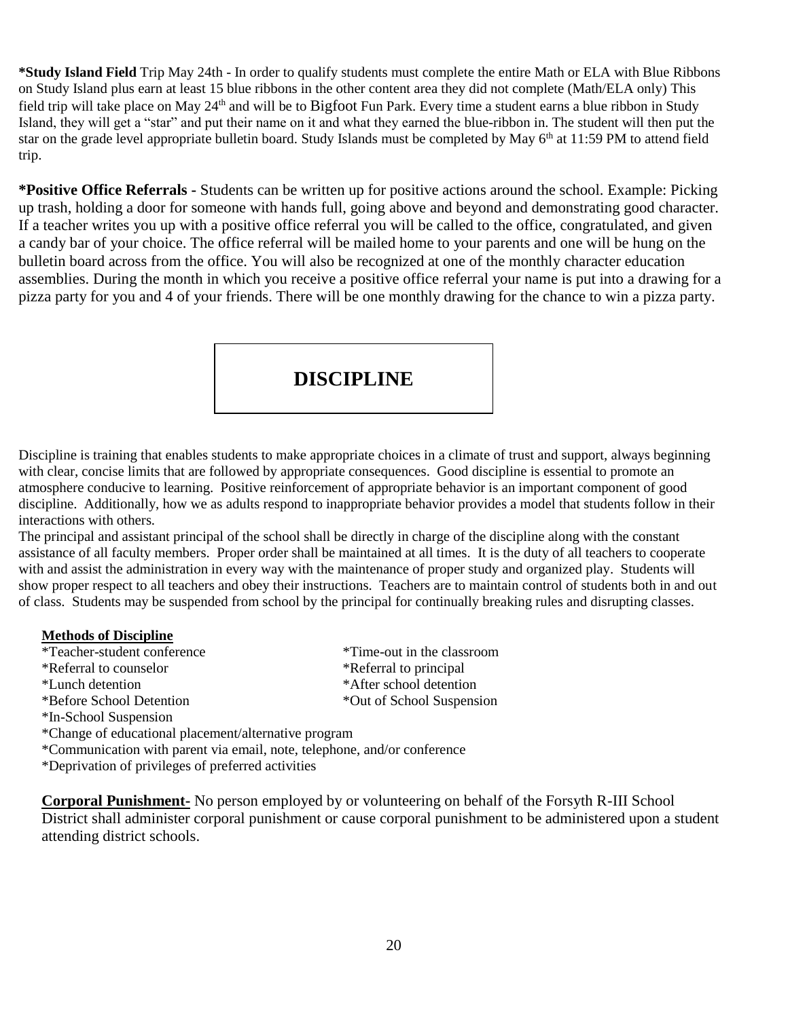**\*Study Island Field** Trip May 24th - In order to qualify students must complete the entire Math or ELA with Blue Ribbons on Study Island plus earn at least 15 blue ribbons in the other content area they did not complete (Math/ELA only) This field trip will take place on May 24<sup>th</sup> and will be to Bigfoot Fun Park. Every time a student earns a blue ribbon in Study Island, they will get a "star" and put their name on it and what they earned the blue-ribbon in. The student will then put the star on the grade level appropriate bulletin board. Study Islands must be completed by May 6<sup>th</sup> at 11:59 PM to attend field trip.

**\*Positive Office Referrals -** Students can be written up for positive actions around the school. Example: Picking up trash, holding a door for someone with hands full, going above and beyond and demonstrating good character. If a teacher writes you up with a positive office referral you will be called to the office, congratulated, and given a candy bar of your choice. The office referral will be mailed home to your parents and one will be hung on the bulletin board across from the office. You will also be recognized at one of the monthly character education assemblies. During the month in which you receive a positive office referral your name is put into a drawing for a pizza party for you and 4 of your friends. There will be one monthly drawing for the chance to win a pizza party.

### **DISCIPLINE**

Discipline is training that enables students to make appropriate choices in a climate of trust and support, always beginning with clear, concise limits that are followed by appropriate consequences. Good discipline is essential to promote an atmosphere conducive to learning. Positive reinforcement of appropriate behavior is an important component of good discipline. Additionally, how we as adults respond to inappropriate behavior provides a model that students follow in their interactions with others.

The principal and assistant principal of the school shall be directly in charge of the discipline along with the constant assistance of all faculty members. Proper order shall be maintained at all times. It is the duty of all teachers to cooperate with and assist the administration in every way with the maintenance of proper study and organized play. Students will show proper respect to all teachers and obey their instructions. Teachers are to maintain control of students both in and out of class. Students may be suspended from school by the principal for continually breaking rules and disrupting classes.

#### **Methods of Discipline**

| *Teacher-student conference                                              | *Time-out in the classroom |  |  |  |  |
|--------------------------------------------------------------------------|----------------------------|--|--|--|--|
| *Referral to counselor                                                   | *Referral to principal     |  |  |  |  |
| *Lunch detention                                                         | *After school detention    |  |  |  |  |
| *Before School Detention                                                 | *Out of School Suspension  |  |  |  |  |
| *In-School Suspension                                                    |                            |  |  |  |  |
| *Change of educational placement/alternative program                     |                            |  |  |  |  |
| *Communication with parent via email, note, telephone, and/or conference |                            |  |  |  |  |

\*Deprivation of privileges of preferred activities

**Corporal Punishment-** No person employed by or volunteering on behalf of the Forsyth R-III School District shall administer corporal punishment or cause corporal punishment to be administered upon a student attending district schools.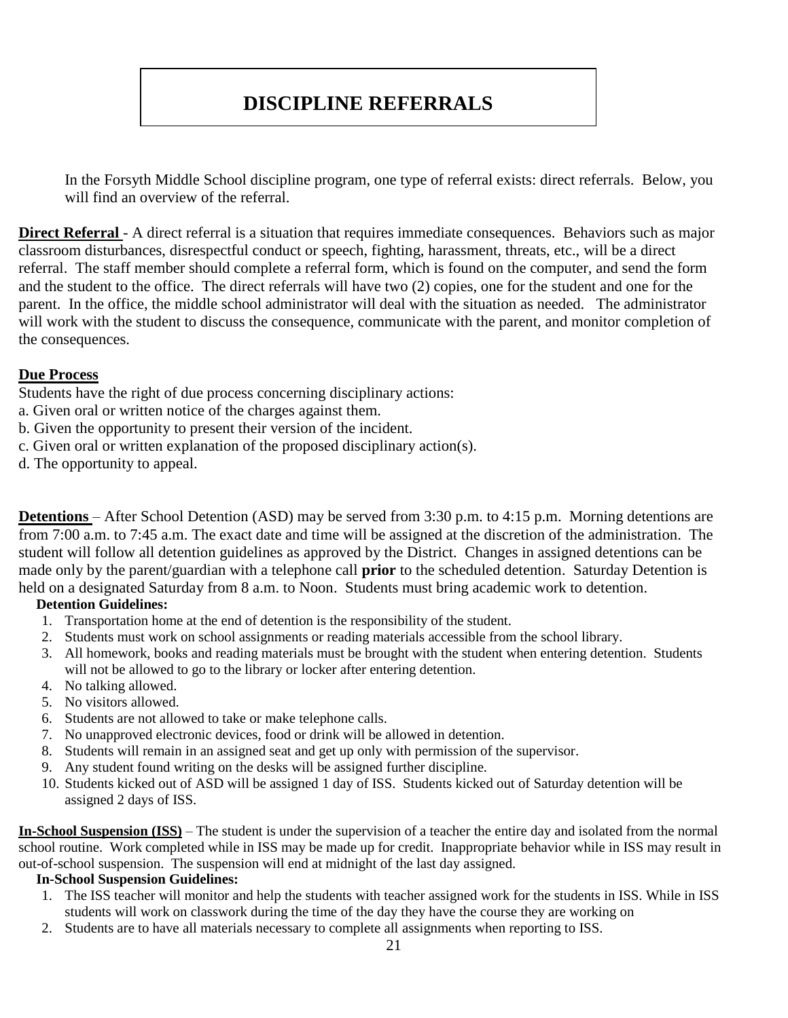# **DISCIPLINE REFERRALS**

In the Forsyth Middle School discipline program, one type of referral exists: direct referrals. Below, you will find an overview of the referral.

**Direct Referral** - A direct referral is a situation that requires immediate consequences. Behaviors such as major classroom disturbances, disrespectful conduct or speech, fighting, harassment, threats, etc., will be a direct referral. The staff member should complete a referral form, which is found on the computer, and send the form and the student to the office. The direct referrals will have two (2) copies, one for the student and one for the parent. In the office, the middle school administrator will deal with the situation as needed. The administrator will work with the student to discuss the consequence, communicate with the parent, and monitor completion of the consequences.

#### **Due Process**

Students have the right of due process concerning disciplinary actions:

- a. Given oral or written notice of the charges against them.
- b. Given the opportunity to present their version of the incident.
- c. Given oral or written explanation of the proposed disciplinary action(s).
- d. The opportunity to appeal.

**Detentions** – After School Detention (ASD) may be served from 3:30 p.m. to 4:15 p.m. Morning detentions are from 7:00 a.m. to 7:45 a.m. The exact date and time will be assigned at the discretion of the administration. The student will follow all detention guidelines as approved by the District. Changes in assigned detentions can be made only by the parent/guardian with a telephone call **prior** to the scheduled detention. Saturday Detention is held on a designated Saturday from 8 a.m. to Noon. Students must bring academic work to detention.

#### **Detention Guidelines:**

- 1. Transportation home at the end of detention is the responsibility of the student.
- 2. Students must work on school assignments or reading materials accessible from the school library.
- 3. All homework, books and reading materials must be brought with the student when entering detention. Students will not be allowed to go to the library or locker after entering detention.
- 4. No talking allowed.
- 5. No visitors allowed.
- 6. Students are not allowed to take or make telephone calls.
- 7. No unapproved electronic devices, food or drink will be allowed in detention.
- 8. Students will remain in an assigned seat and get up only with permission of the supervisor.
- 9. Any student found writing on the desks will be assigned further discipline.
- 10. Students kicked out of ASD will be assigned 1 day of ISS. Students kicked out of Saturday detention will be assigned 2 days of ISS.

**In-School Suspension (ISS)** – The student is under the supervision of a teacher the entire day and isolated from the normal school routine. Work completed while in ISS may be made up for credit. Inappropriate behavior while in ISS may result in out-of-school suspension. The suspension will end at midnight of the last day assigned.

#### **In-School Suspension Guidelines:**

- 1. The ISS teacher will monitor and help the students with teacher assigned work for the students in ISS. While in ISS students will work on classwork during the time of the day they have the course they are working on
- 2. Students are to have all materials necessary to complete all assignments when reporting to ISS.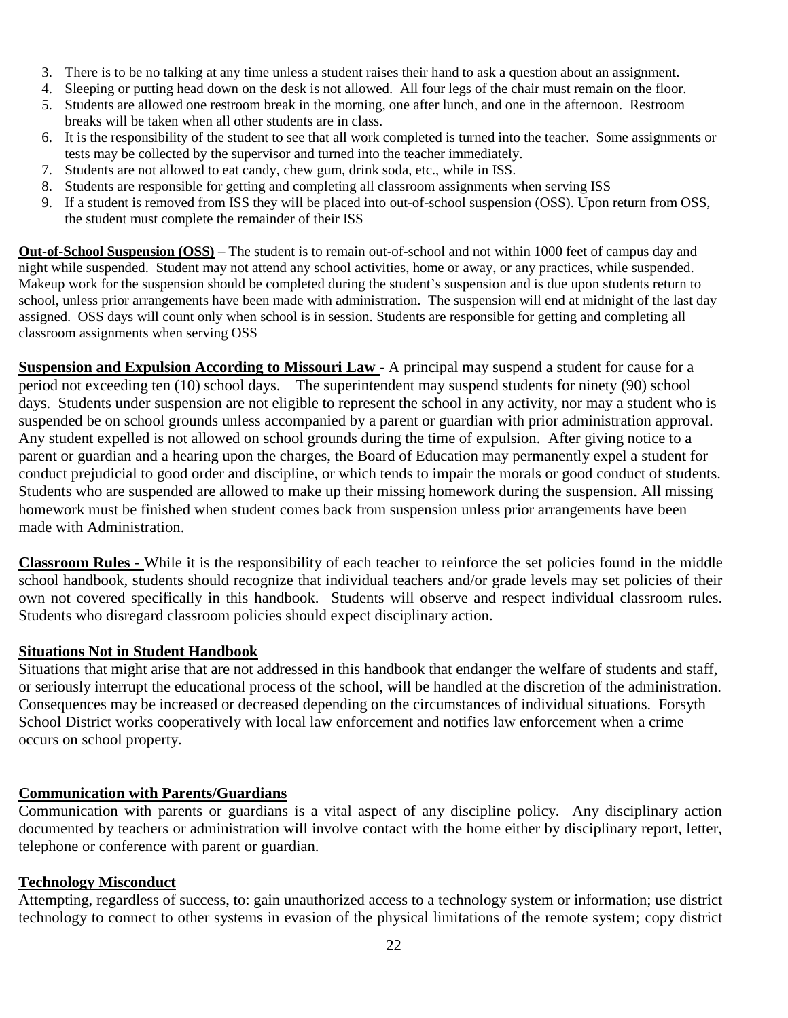- 3. There is to be no talking at any time unless a student raises their hand to ask a question about an assignment.
- 4. Sleeping or putting head down on the desk is not allowed. All four legs of the chair must remain on the floor.
- 5. Students are allowed one restroom break in the morning, one after lunch, and one in the afternoon. Restroom breaks will be taken when all other students are in class.
- 6. It is the responsibility of the student to see that all work completed is turned into the teacher. Some assignments or tests may be collected by the supervisor and turned into the teacher immediately.
- 7. Students are not allowed to eat candy, chew gum, drink soda, etc., while in ISS.
- 8. Students are responsible for getting and completing all classroom assignments when serving ISS
- 9. If a student is removed from ISS they will be placed into out-of-school suspension (OSS). Upon return from OSS, the student must complete the remainder of their ISS

**Out-of-School Suspension (OSS)** – The student is to remain out-of-school and not within 1000 feet of campus day and night while suspended. Student may not attend any school activities, home or away, or any practices, while suspended. Makeup work for the suspension should be completed during the student's suspension and is due upon students return to school, unless prior arrangements have been made with administration. The suspension will end at midnight of the last day assigned. OSS days will count only when school is in session. Students are responsible for getting and completing all classroom assignments when serving OSS

**Suspension and Expulsion According to Missouri Law** - A principal may suspend a student for cause for a period not exceeding ten (10) school days. The superintendent may suspend students for ninety (90) school days. Students under suspension are not eligible to represent the school in any activity, nor may a student who is suspended be on school grounds unless accompanied by a parent or guardian with prior administration approval. Any student expelled is not allowed on school grounds during the time of expulsion. After giving notice to a parent or guardian and a hearing upon the charges, the Board of Education may permanently expel a student for conduct prejudicial to good order and discipline, or which tends to impair the morals or good conduct of students. Students who are suspended are allowed to make up their missing homework during the suspension. All missing homework must be finished when student comes back from suspension unless prior arrangements have been made with Administration.

**Classroom Rules** - While it is the responsibility of each teacher to reinforce the set policies found in the middle school handbook, students should recognize that individual teachers and/or grade levels may set policies of their own not covered specifically in this handbook. Students will observe and respect individual classroom rules. Students who disregard classroom policies should expect disciplinary action.

#### **Situations Not in Student Handbook**

Situations that might arise that are not addressed in this handbook that endanger the welfare of students and staff, or seriously interrupt the educational process of the school, will be handled at the discretion of the administration. Consequences may be increased or decreased depending on the circumstances of individual situations. Forsyth School District works cooperatively with local law enforcement and notifies law enforcement when a crime occurs on school property.

#### **Communication with Parents/Guardians**

Communication with parents or guardians is a vital aspect of any discipline policy. Any disciplinary action documented by teachers or administration will involve contact with the home either by disciplinary report, letter, telephone or conference with parent or guardian.

#### **Technology Misconduct**

Attempting, regardless of success, to: gain unauthorized access to a technology system or information; use district technology to connect to other systems in evasion of the physical limitations of the remote system; copy district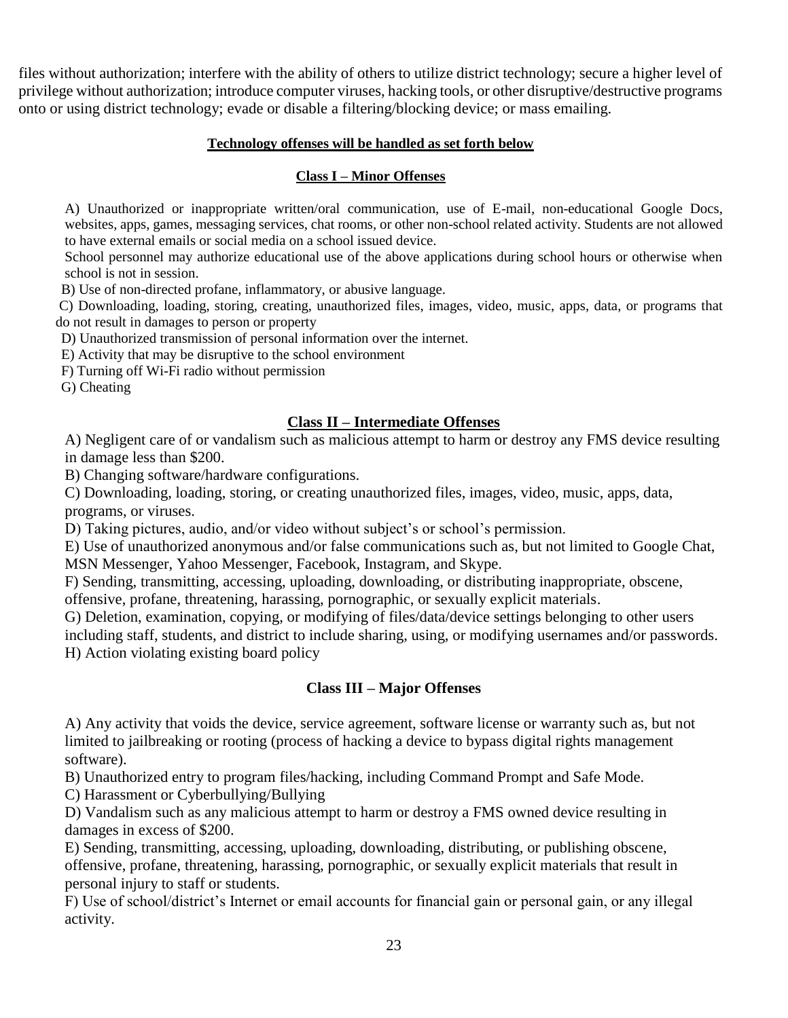files without authorization; interfere with the ability of others to utilize district technology; secure a higher level of privilege without authorization; introduce computer viruses, hacking tools, or other disruptive/destructive programs onto or using district technology; evade or disable a filtering/blocking device; or mass emailing.

#### **Technology offenses will be handled as set forth below**

#### **Class I – Minor Offenses**

A) Unauthorized or inappropriate written/oral communication, use of E-mail, non-educational Google Docs, websites, apps, games, messaging services, chat rooms, or other non-school related activity. Students are not allowed to have external emails or social media on a school issued device.

School personnel may authorize educational use of the above applications during school hours or otherwise when school is not in session.

B) Use of non-directed profane, inflammatory, or abusive language.

C) Downloading, loading, storing, creating, unauthorized files, images, video, music, apps, data, or programs that do not result in damages to person or property

D) Unauthorized transmission of personal information over the internet.

E) Activity that may be disruptive to the school environment

F) Turning off Wi-Fi radio without permission

G) Cheating

#### **Class II – Intermediate Offenses**

A) Negligent care of or vandalism such as malicious attempt to harm or destroy any FMS device resulting in damage less than \$200.

B) Changing software/hardware configurations.

C) Downloading, loading, storing, or creating unauthorized files, images, video, music, apps, data, programs, or viruses.

D) Taking pictures, audio, and/or video without subject's or school's permission.

E) Use of unauthorized anonymous and/or false communications such as, but not limited to Google Chat, MSN Messenger, Yahoo Messenger, Facebook, Instagram, and Skype.

F) Sending, transmitting, accessing, uploading, downloading, or distributing inappropriate, obscene,

offensive, profane, threatening, harassing, pornographic, or sexually explicit materials.

G) Deletion, examination, copying, or modifying of files/data/device settings belonging to other users including staff, students, and district to include sharing, using, or modifying usernames and/or passwords. H) Action violating existing board policy

#### **Class III – Major Offenses**

A) Any activity that voids the device, service agreement, software license or warranty such as, but not limited to jailbreaking or rooting (process of hacking a device to bypass digital rights management software).

B) Unauthorized entry to program files/hacking, including Command Prompt and Safe Mode.

C) Harassment or Cyberbullying/Bullying

D) Vandalism such as any malicious attempt to harm or destroy a FMS owned device resulting in damages in excess of \$200.

E) Sending, transmitting, accessing, uploading, downloading, distributing, or publishing obscene, offensive, profane, threatening, harassing, pornographic, or sexually explicit materials that result in personal injury to staff or students.

F) Use of school/district's Internet or email accounts for financial gain or personal gain, or any illegal activity.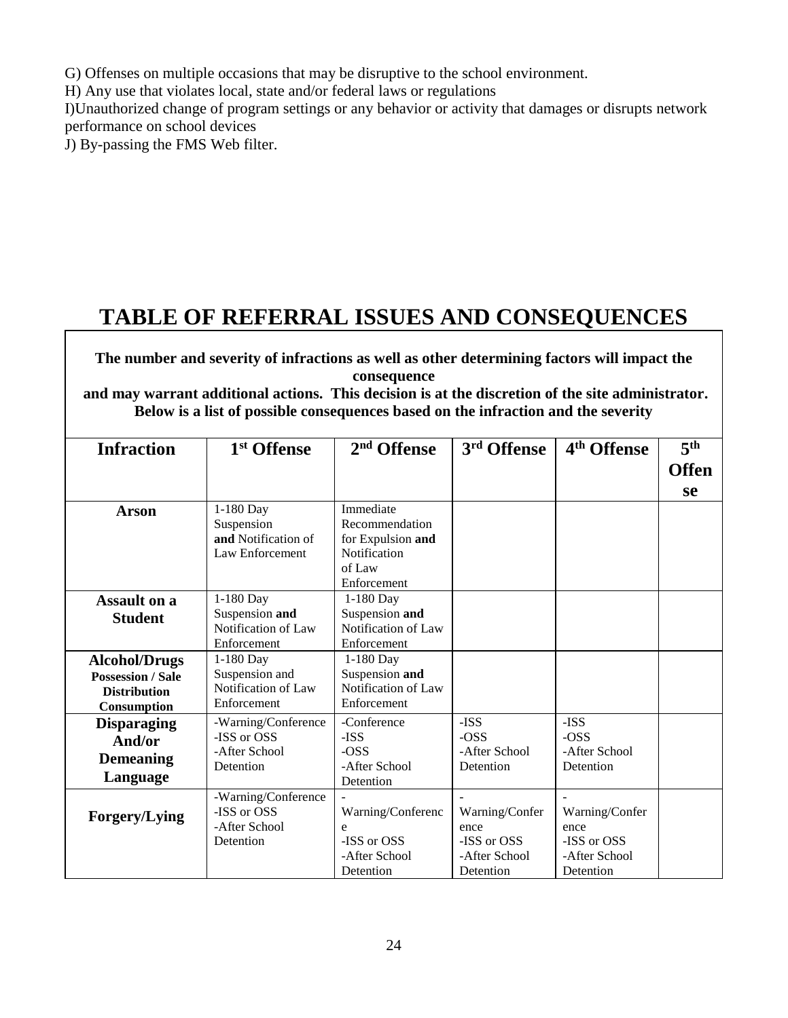G) Offenses on multiple occasions that may be disruptive to the school environment.

H) Any use that violates local, state and/or federal laws or regulations

I)Unauthorized change of program settings or any behavior or activity that damages or disrupts network performance on school devices

J) By-passing the FMS Web filter.

# **TABLE OF REFERRAL ISSUES AND CONSEQUENCES**

**The number and severity of infractions as well as other determining factors will impact the consequence**

**and may warrant additional actions. This decision is at the discretion of the site administrator. Below is a list of possible consequences based on the infraction and the severity** 

| 1-180 Day<br>Suspension                                           | Immediate                                                                    |                                                        |                                                        | <b>Offen</b> |
|-------------------------------------------------------------------|------------------------------------------------------------------------------|--------------------------------------------------------|--------------------------------------------------------|--------------|
|                                                                   |                                                                              |                                                        |                                                        | se           |
| and Notification of<br>Law Enforcement                            | Recommendation<br>for Expulsion and<br>Notification<br>of Law<br>Enforcement |                                                        |                                                        |              |
| 1-180 Day<br>Suspension and<br>Notification of Law<br>Enforcement | 1-180 Day<br>Suspension and<br>Notification of Law<br>Enforcement            |                                                        |                                                        |              |
| 1-180 Day<br>Suspension and<br>Notification of Law<br>Enforcement | 1-180 Day<br>Suspension and<br>Notification of Law<br>Enforcement            |                                                        |                                                        |              |
| -Warning/Conference<br>-ISS or OSS<br>-After School<br>Detention  | -Conference<br>-ISS<br>$-OSS$<br>-After School<br>Detention                  | $-ISS$<br>$-OSS$<br>-After School<br>Detention         | -ISS<br>$-OSS$<br>-After School<br>Detention           |              |
| -Warning/Conference<br>-ISS or OSS<br>-After School<br>Detention  | Warning/Conferenc<br>e<br>-ISS or OSS<br>-After School                       | Warning/Confer<br>ence<br>-ISS or OSS<br>-After School | Warning/Confer<br>ence<br>-ISS or OSS<br>-After School |              |
|                                                                   |                                                                              | Detention                                              | Detention                                              | Detention    |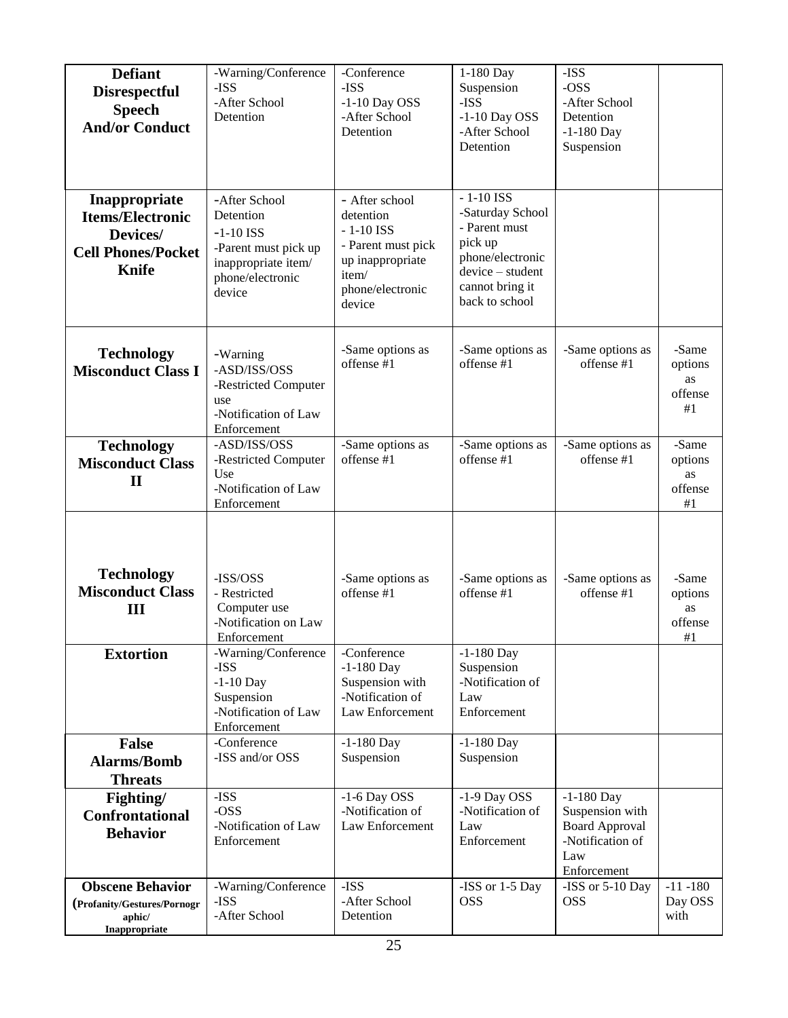| <b>Defiant</b><br><b>Disrespectful</b><br><b>Speech</b><br><b>And/or Conduct</b>                  | -Warning/Conference<br>-ISS<br>-After School<br>Detention                                                              | -Conference<br>-ISS<br>$-1-10$ Day OSS<br>-After School<br>Detention                                                        | 1-180 Day<br>Suspension<br>-ISS<br>$-1-10$ Day OSS<br>-After School<br>Detention                                                         | -ISS<br>$-OSS$<br>-After School<br>Detention<br>$-1-180$ Day<br>Suspension                         |                                            |
|---------------------------------------------------------------------------------------------------|------------------------------------------------------------------------------------------------------------------------|-----------------------------------------------------------------------------------------------------------------------------|------------------------------------------------------------------------------------------------------------------------------------------|----------------------------------------------------------------------------------------------------|--------------------------------------------|
| Inappropriate<br><b>Items/Electronic</b><br>Devices/<br><b>Cell Phones/Pocket</b><br><b>Knife</b> | -After School<br>Detention<br>$-1-10$ ISS<br>-Parent must pick up<br>inappropriate item/<br>phone/electronic<br>device | - After school<br>detention<br>$-1-10$ ISS<br>- Parent must pick<br>up inappropriate<br>item/<br>phone/electronic<br>device | $-1-10$ ISS<br>-Saturday School<br>- Parent must<br>pick up<br>phone/electronic<br>device - student<br>cannot bring it<br>back to school |                                                                                                    |                                            |
| <b>Technology</b><br><b>Misconduct Class I</b>                                                    | -Warning<br>-ASD/ISS/OSS<br>-Restricted Computer<br>use<br>-Notification of Law<br>Enforcement                         | -Same options as<br>offense #1                                                                                              | -Same options as<br>offense #1                                                                                                           | -Same options as<br>offense #1                                                                     | -Same<br>options<br>as<br>offense<br>#1    |
| <b>Technology</b><br><b>Misconduct Class</b><br>$\mathbf{I}$                                      | -ASD/ISS/OSS<br>-Restricted Computer<br>Use<br>-Notification of Law<br>Enforcement                                     | -Same options as<br>offense #1                                                                                              | -Same options as<br>offense #1                                                                                                           | -Same options as<br>offense #1                                                                     | -Same<br>options<br>as<br>offense<br>$\#1$ |
| <b>Technology</b><br><b>Misconduct Class</b><br>III                                               | -ISS/OSS<br>- Restricted<br>Computer use<br>-Notification on Law<br>Enforcement                                        | -Same options as<br>offense #1                                                                                              | -Same options as<br>offense #1                                                                                                           | -Same options as<br>offense #1                                                                     | -Same<br>options<br>as<br>offense<br>#1    |
| <b>Extortion</b>                                                                                  | -Warning/Conference<br>-ISS<br>$-1-10$ Day<br>Suspension<br>-Notification of Law<br>Enforcement                        | -Conference<br>$-1-180$ Day<br>Suspension with<br>-Notification of<br>Law Enforcement                                       | $-1-180$ Day<br>Suspension<br>-Notification of<br>Law<br>Enforcement                                                                     |                                                                                                    |                                            |
| <b>False</b><br><b>Alarms/Bomb</b><br><b>Threats</b>                                              | -Conference<br>-ISS and/or OSS                                                                                         | $-1-180$ Day<br>Suspension                                                                                                  | $-1-180$ Day<br>Suspension                                                                                                               |                                                                                                    |                                            |
| Fighting/<br><b>Confrontational</b><br><b>Behavior</b>                                            | -ISS<br>$-OSS$<br>-Notification of Law<br>Enforcement                                                                  | $-1-6$ Day OSS<br>-Notification of<br>Law Enforcement                                                                       | -1-9 Day OSS<br>-Notification of<br>Law<br>Enforcement                                                                                   | $-1-180$ Day<br>Suspension with<br><b>Board Approval</b><br>-Notification of<br>Law<br>Enforcement |                                            |
| <b>Obscene Behavior</b><br>(Profanity/Gestures/Pornogr<br>aphic/<br>Inappropriate                 | -Warning/Conference<br>-ISS<br>-After School                                                                           | -ISS<br>-After School<br>Detention                                                                                          | -ISS or 1-5 Day<br><b>OSS</b>                                                                                                            | -ISS or 5-10 Day<br><b>OSS</b>                                                                     | $-11 - 180$<br>Day OSS<br>with             |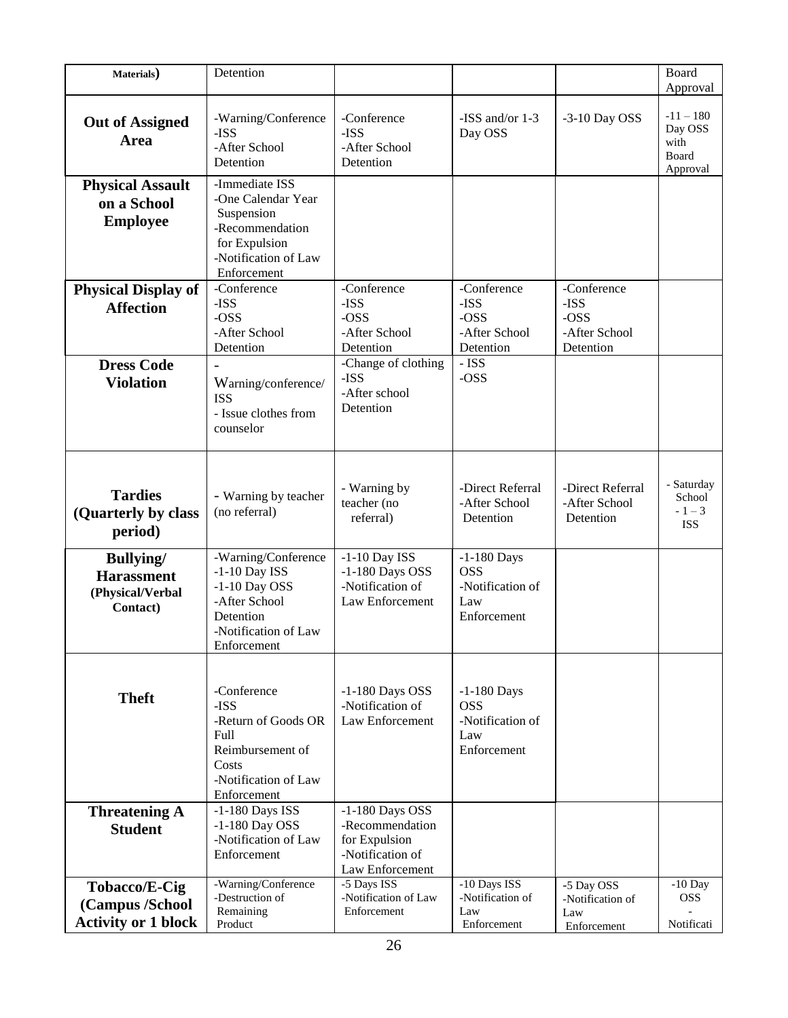| Materials)                                                             | Detention                                                                                                                      |                                                                                              |                                                                       |                                                           | Board                                               |
|------------------------------------------------------------------------|--------------------------------------------------------------------------------------------------------------------------------|----------------------------------------------------------------------------------------------|-----------------------------------------------------------------------|-----------------------------------------------------------|-----------------------------------------------------|
|                                                                        |                                                                                                                                |                                                                                              |                                                                       |                                                           | Approval                                            |
| <b>Out of Assigned</b><br>Area                                         | -Warning/Conference<br>$-ISS$<br>-After School<br>Detention                                                                    | -Conference<br>$-ISS$<br>-After School<br>Detention                                          | -ISS and/or 1-3<br>Day OSS                                            | -3-10 Day OSS                                             | $-11 - 180$<br>Day OSS<br>with<br>Board<br>Approval |
| <b>Physical Assault</b><br>on a School<br><b>Employee</b>              | -Immediate ISS<br>-One Calendar Year<br>Suspension<br>-Recommendation<br>for Expulsion<br>-Notification of Law<br>Enforcement  |                                                                                              |                                                                       |                                                           |                                                     |
| <b>Physical Display of</b><br><b>Affection</b>                         | -Conference<br>-ISS<br>$-OSS$<br>-After School<br>Detention                                                                    | -Conference<br>-ISS<br>-OSS<br>-After School<br>Detention                                    | -Conference<br>-ISS<br>-OSS<br>-After School<br>Detention             | -Conference<br>-ISS<br>-OSS<br>-After School<br>Detention |                                                     |
| <b>Dress Code</b><br><b>Violation</b>                                  | Warning/conference/<br><b>ISS</b><br>- Issue clothes from<br>counselor                                                         | -Change of clothing<br>-ISS<br>-After school<br>Detention                                    | - ISS<br>-OSS                                                         |                                                           |                                                     |
| <b>Tardies</b><br>(Quarterly by class)<br>period)                      | - Warning by teacher<br>(no referral)                                                                                          | - Warning by<br>teacher (no<br>referral)                                                     | -Direct Referral<br>-After School<br>Detention                        | -Direct Referral<br>-After School<br>Detention            | - Saturday<br>School<br>$-1-3$<br><b>ISS</b>        |
| <b>Bullying</b> /<br><b>Harassment</b><br>(Physical/Verbal<br>Contact) | -Warning/Conference<br>$-1-10$ Day ISS<br>$-1-10$ Day OSS<br>-After School<br>Detention<br>-Notification of Law<br>Enforcement | $-1-10$ Day ISS<br>$-1-180$ Days OSS<br>-Notification of<br>Law Enforcement                  | $-1-180$ Days<br><b>OSS</b><br>-Notification of<br>Law<br>Enforcement |                                                           |                                                     |
| <b>Theft</b>                                                           | -Conference<br>-ISS<br>-Return of Goods OR<br>Full<br>Reimbursement of<br>Costs<br>-Notification of Law<br>Enforcement         | $-1-180$ Days OSS<br>-Notification of<br>Law Enforcement                                     | $-1-180$ Days<br><b>OSS</b><br>-Notification of<br>Law<br>Enforcement |                                                           |                                                     |
| <b>Threatening A</b><br><b>Student</b>                                 | -1-180 Days ISS<br>$-1-180$ Day OSS<br>-Notification of Law<br>Enforcement                                                     | $-1-180$ Days OSS<br>-Recommendation<br>for Expulsion<br>-Notification of<br>Law Enforcement |                                                                       |                                                           |                                                     |
| Tobacco/E-Cig<br>(Campus /School<br><b>Activity or 1 block</b>         | -Warning/Conference<br>-Destruction of<br>Remaining<br>Product                                                                 | -5 Days ISS<br>-Notification of Law<br>Enforcement                                           | -10 Days ISS<br>-Notification of<br>Law<br>Enforcement                | -5 Day OSS<br>-Notification of<br>Law<br>Enforcement      | $-10$ Day<br><b>OSS</b><br>Notificati               |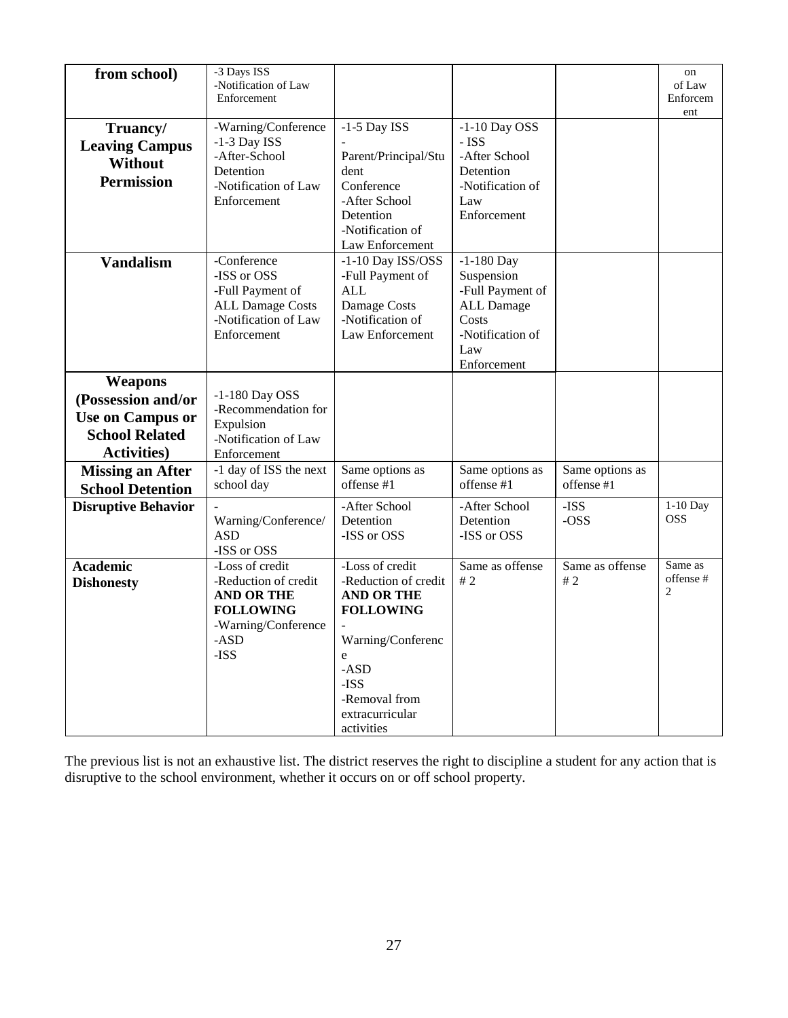| from school)                                                                                                    | -3 Days ISS<br>-Notification of Law<br>Enforcement                                                                      |                                                                                                                                                                                |                                                                                                                        |                               | on<br>of Law<br>Enforcem<br>ent       |
|-----------------------------------------------------------------------------------------------------------------|-------------------------------------------------------------------------------------------------------------------------|--------------------------------------------------------------------------------------------------------------------------------------------------------------------------------|------------------------------------------------------------------------------------------------------------------------|-------------------------------|---------------------------------------|
| Truancy/<br><b>Leaving Campus</b><br><b>Without</b><br><b>Permission</b>                                        | -Warning/Conference<br>$-1-3$ Day ISS<br>-After-School<br>Detention<br>-Notification of Law<br>Enforcement              | $-1-5$ Day ISS<br>Parent/Principal/Stu<br>dent<br>Conference<br>-After School<br>Detention<br>-Notification of<br>Law Enforcement                                              | $-1-10$ Day OSS<br>- ISS<br>-After School<br>Detention<br>-Notification of<br>Law<br>Enforcement                       |                               |                                       |
| <b>Vandalism</b>                                                                                                | -Conference<br>-ISS or OSS<br>-Full Payment of<br><b>ALL Damage Costs</b><br>-Notification of Law<br>Enforcement        | -1-10 Day ISS/OSS<br>-Full Payment of<br><b>ALL</b><br>Damage Costs<br>-Notification of<br>Law Enforcement                                                                     | $-1-180$ Day<br>Suspension<br>-Full Payment of<br><b>ALL Damage</b><br>Costs<br>-Notification of<br>Law<br>Enforcement |                               |                                       |
| <b>Weapons</b><br>(Possession and/or<br><b>Use on Campus or</b><br><b>School Related</b><br><b>Activities</b> ) | $-1-180$ Day OSS<br>-Recommendation for<br>Expulsion<br>-Notification of Law<br>Enforcement                             |                                                                                                                                                                                |                                                                                                                        |                               |                                       |
| <b>Missing an After</b><br><b>School Detention</b>                                                              | -1 day of ISS the next<br>school day                                                                                    | Same options as<br>offense #1                                                                                                                                                  | Same options as<br>offense #1                                                                                          | Same options as<br>offense #1 |                                       |
| <b>Disruptive Behavior</b>                                                                                      | Warning/Conference/<br><b>ASD</b><br>-ISS or OSS                                                                        | -After School<br>Detention<br>-ISS or OSS                                                                                                                                      | -After School<br>Detention<br>-ISS or OSS                                                                              | -ISS<br>-OSS                  | 1-10 Day<br><b>OSS</b>                |
| <b>Academic</b><br><b>Dishonesty</b>                                                                            | -Loss of credit<br>-Reduction of credit<br><b>AND OR THE</b><br><b>FOLLOWING</b><br>-Warning/Conference<br>-ASD<br>-ISS | -Loss of credit<br>-Reduction of credit<br><b>AND OR THE</b><br><b>FOLLOWING</b><br>Warning/Conferenc<br>e<br>$-ASD$<br>-ISS<br>-Removal from<br>extracurricular<br>activities | Same as offense<br>$\#$ 2                                                                                              | Same as offense<br>#2         | Same as<br>offense#<br>$\overline{c}$ |

The previous list is not an exhaustive list. The district reserves the right to discipline a student for any action that is disruptive to the school environment, whether it occurs on or off school property.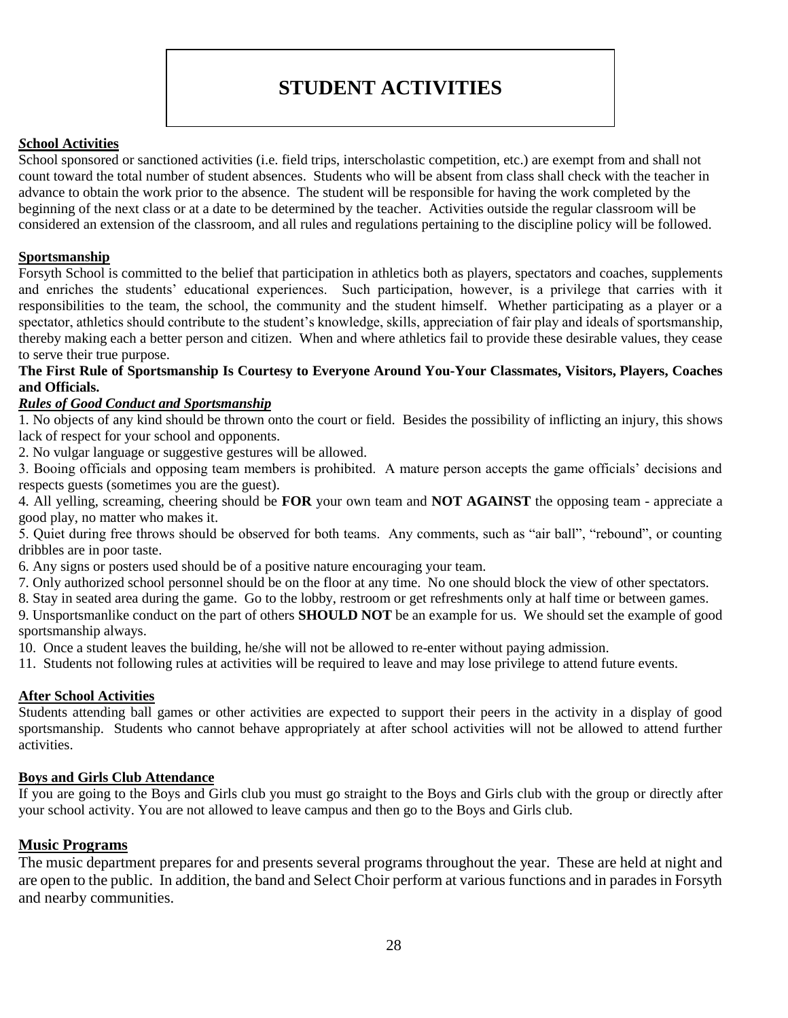### **STUDENT ACTIVITIES**

#### <span id="page-28-0"></span>*S***chool Activities**

School sponsored or sanctioned activities (i.e. field trips, interscholastic competition, etc.) are exempt from and shall not count toward the total number of student absences. Students who will be absent from class shall check with the teacher in advance to obtain the work prior to the absence. The student will be responsible for having the work completed by the beginning of the next class or at a date to be determined by the teacher. Activities outside the regular classroom will be considered an extension of the classroom, and all rules and regulations pertaining to the discipline policy will be followed.

#### **Sportsmanship**

Forsyth School is committed to the belief that participation in athletics both as players, spectators and coaches, supplements and enriches the students' educational experiences. Such participation, however, is a privilege that carries with it responsibilities to the team, the school, the community and the student himself. Whether participating as a player or a spectator, athletics should contribute to the student's knowledge, skills, appreciation of fair play and ideals of sportsmanship, thereby making each a better person and citizen. When and where athletics fail to provide these desirable values, they cease to serve their true purpose.

#### **The First Rule of Sportsmanship Is Courtesy to Everyone Around You-Your Classmates, Visitors, Players, Coaches and Officials.**

#### *Rules of Good Conduct and Sportsmanship*

1. No objects of any kind should be thrown onto the court or field. Besides the possibility of inflicting an injury, this shows lack of respect for your school and opponents.

2. No vulgar language or suggestive gestures will be allowed.

3. Booing officials and opposing team members is prohibited. A mature person accepts the game officials' decisions and respects guests (sometimes you are the guest).

4. All yelling, screaming, cheering should be **FOR** your own team and **NOT AGAINST** the opposing team - appreciate a good play, no matter who makes it.

5. Quiet during free throws should be observed for both teams. Any comments, such as "air ball", "rebound", or counting dribbles are in poor taste.

6. Any signs or posters used should be of a positive nature encouraging your team.

7. Only authorized school personnel should be on the floor at any time. No one should block the view of other spectators.

8. Stay in seated area during the game. Go to the lobby, restroom or get refreshments only at half time or between games.

9. Unsportsmanlike conduct on the part of others **SHOULD NOT** be an example for us. We should set the example of good sportsmanship always.

10. Once a student leaves the building, he/she will not be allowed to re-enter without paying admission.

11. Students not following rules at activities will be required to leave and may lose privilege to attend future events.

#### **After School Activities**

Students attending ball games or other activities are expected to support their peers in the activity in a display of good sportsmanship. Students who cannot behave appropriately at after school activities will not be allowed to attend further activities.

#### **Boys and Girls Club Attendance**

If you are going to the Boys and Girls club you must go straight to the Boys and Girls club with the group or directly after your school activity. You are not allowed to leave campus and then go to the Boys and Girls club.

#### **Music Programs**

The music department prepares for and presents several programs throughout the year. These are held at night and are open to the public. In addition, the band and Select Choir perform at various functions and in parades in Forsyth and nearby communities.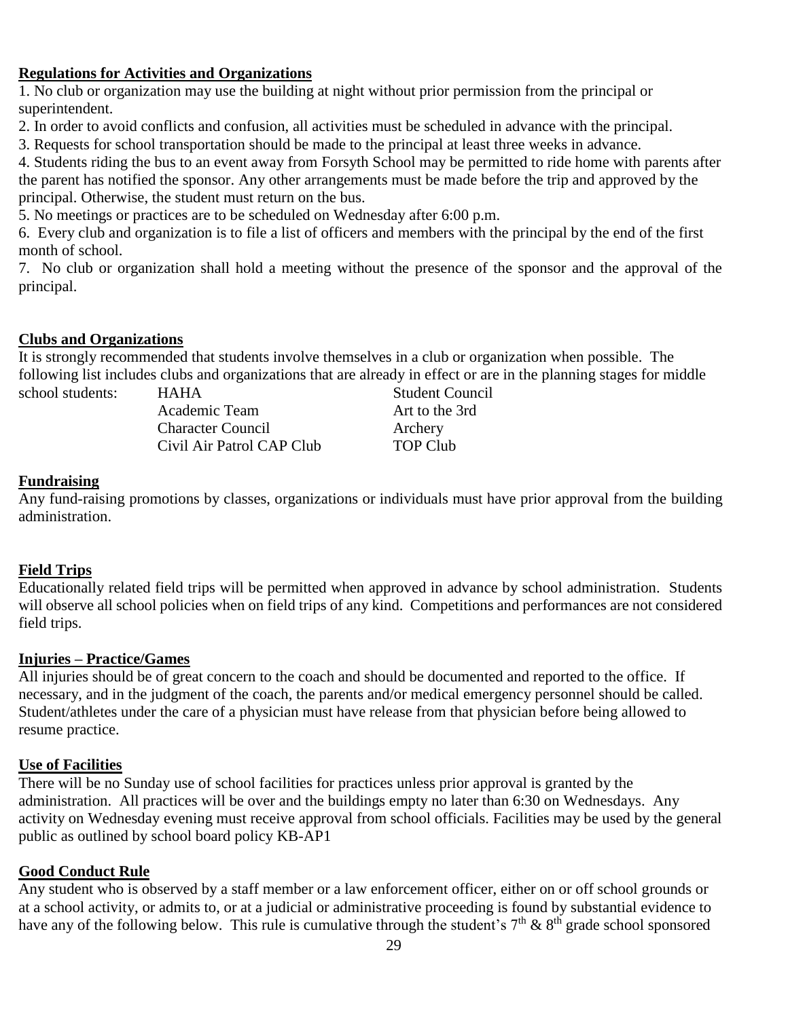#### **Regulations for Activities and Organizations**

1. No club or organization may use the building at night without prior permission from the principal or superintendent.

2. In order to avoid conflicts and confusion, all activities must be scheduled in advance with the principal.

3. Requests for school transportation should be made to the principal at least three weeks in advance.

4. Students riding the bus to an event away from Forsyth School may be permitted to ride home with parents after the parent has notified the sponsor. Any other arrangements must be made before the trip and approved by the principal. Otherwise, the student must return on the bus.

5. No meetings or practices are to be scheduled on Wednesday after 6:00 p.m.

6. Every club and organization is to file a list of officers and members with the principal by the end of the first month of school.

7. No club or organization shall hold a meeting without the presence of the sponsor and the approval of the principal.

#### **Clubs and Organizations**

It is strongly recommended that students involve themselves in a club or organization when possible. The following list includes clubs and organizations that are already in effect or are in the planning stages for middle

school students: HAHA Student Council Academic Team Art to the 3rd Character Council Archery Civil Air Patrol CAP Club TOP Club

#### **Fundraising**

Any fund-raising promotions by classes, organizations or individuals must have prior approval from the building administration.

#### **Field Trips**

Educationally related field trips will be permitted when approved in advance by school administration. Students will observe all school policies when on field trips of any kind. Competitions and performances are not considered field trips.

#### **Injuries – Practice/Games**

All injuries should be of great concern to the coach and should be documented and reported to the office. If necessary, and in the judgment of the coach, the parents and/or medical emergency personnel should be called. Student/athletes under the care of a physician must have release from that physician before being allowed to resume practice.

#### **Use of Facilities**

There will be no Sunday use of school facilities for practices unless prior approval is granted by the administration. All practices will be over and the buildings empty no later than 6:30 on Wednesdays. Any activity on Wednesday evening must receive approval from school officials. Facilities may be used by the general public as outlined by school board policy KB-AP1

#### **Good Conduct Rule**

Any student who is observed by a staff member or a law enforcement officer, either on or off school grounds or at a school activity, or admits to, or at a judicial or administrative proceeding is found by substantial evidence to have any of the following below. This rule is cumulative through the student's  $7<sup>th</sup>$  &  $8<sup>th</sup>$  grade school sponsored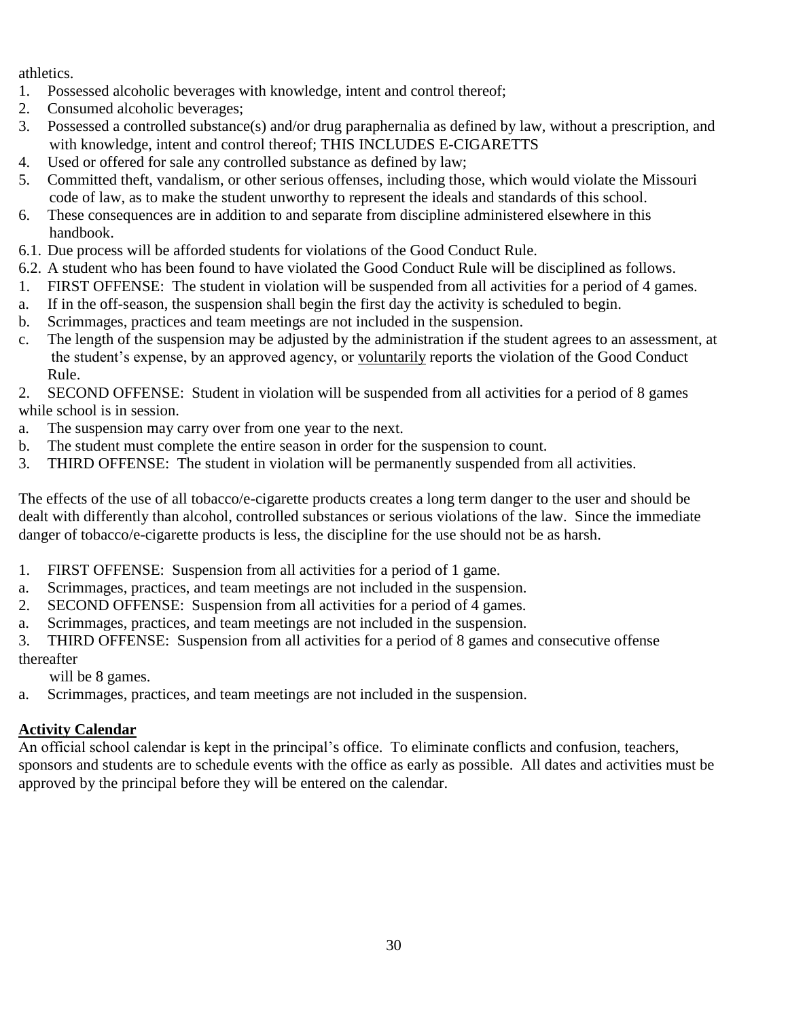athletics.

- 1. Possessed alcoholic beverages with knowledge, intent and control thereof;
- 2. Consumed alcoholic beverages;
- 3. Possessed a controlled substance(s) and/or drug paraphernalia as defined by law, without a prescription, and with knowledge, intent and control thereof; THIS INCLUDES E-CIGARETTS
- 4. Used or offered for sale any controlled substance as defined by law;
- 5. Committed theft, vandalism, or other serious offenses, including those, which would violate the Missouri code of law, as to make the student unworthy to represent the ideals and standards of this school.
- 6. These consequences are in addition to and separate from discipline administered elsewhere in this handbook.
- 6.1. Due process will be afforded students for violations of the Good Conduct Rule.
- 6.2. A student who has been found to have violated the Good Conduct Rule will be disciplined as follows.
- 1. FIRST OFFENSE: The student in violation will be suspended from all activities for a period of 4 games.
- a. If in the off-season, the suspension shall begin the first day the activity is scheduled to begin.
- b. Scrimmages, practices and team meetings are not included in the suspension.
- c. The length of the suspension may be adjusted by the administration if the student agrees to an assessment, at the student's expense, by an approved agency, or voluntarily reports the violation of the Good Conduct Rule.

#### 2. SECOND OFFENSE: Student in violation will be suspended from all activities for a period of 8 games while school is in session.

- a. The suspension may carry over from one year to the next.
- b. The student must complete the entire season in order for the suspension to count.
- 3. THIRD OFFENSE: The student in violation will be permanently suspended from all activities.

The effects of the use of all tobacco/e-cigarette products creates a long term danger to the user and should be dealt with differently than alcohol, controlled substances or serious violations of the law. Since the immediate danger of tobacco/e-cigarette products is less, the discipline for the use should not be as harsh.

- 1. FIRST OFFENSE: Suspension from all activities for a period of 1 game.
- a. Scrimmages, practices, and team meetings are not included in the suspension.
- 2. SECOND OFFENSE: Suspension from all activities for a period of 4 games.
- a. Scrimmages, practices, and team meetings are not included in the suspension.
- 3. THIRD OFFENSE: Suspension from all activities for a period of 8 games and consecutive offense

thereafter

will be 8 games.

a. Scrimmages, practices, and team meetings are not included in the suspension.

### **Activity Calendar**

An official school calendar is kept in the principal's office. To eliminate conflicts and confusion, teachers, sponsors and students are to schedule events with the office as early as possible. All dates and activities must be approved by the principal before they will be entered on the calendar.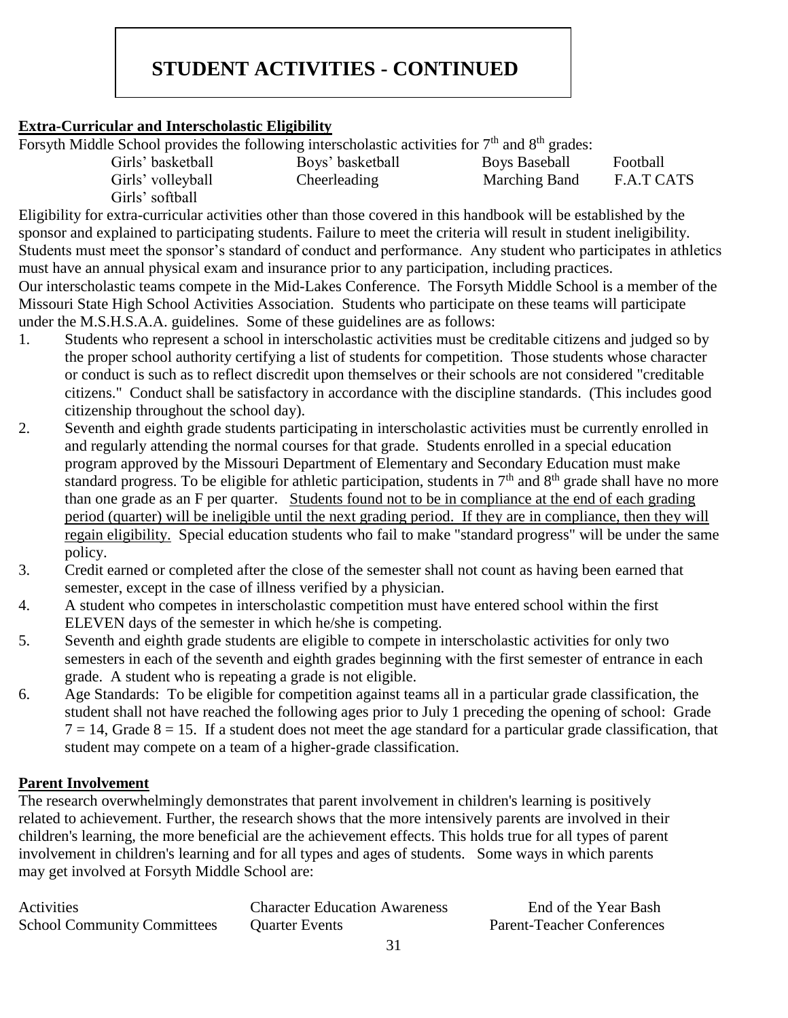### **STUDENT ACTIVITIES - CONTINUED**

#### **Extra-Curricular and Interscholastic Eligibility**

Forsyth Middle School provides the following interscholastic activities for 7<sup>th</sup> and 8<sup>th</sup> grades:

| Girls' basketball | Boys' basketball | <b>Boys Baseball</b> | Football   |
|-------------------|------------------|----------------------|------------|
| Girls' volleyball | Cheerleading     | Marching Band        | F.A.T CATS |
| Girls' softball   |                  |                      |            |

Eligibility for extra-curricular activities other than those covered in this handbook will be established by the sponsor and explained to participating students. Failure to meet the criteria will result in student ineligibility. Students must meet the sponsor's standard of conduct and performance. Any student who participates in athletics must have an annual physical exam and insurance prior to any participation, including practices.

Our interscholastic teams compete in the Mid-Lakes Conference. The Forsyth Middle School is a member of the Missouri State High School Activities Association. Students who participate on these teams will participate under the M.S.H.S.A.A. guidelines. Some of these guidelines are as follows:

- 1. Students who represent a school in interscholastic activities must be creditable citizens and judged so by the proper school authority certifying a list of students for competition. Those students whose character or conduct is such as to reflect discredit upon themselves or their schools are not considered "creditable citizens." Conduct shall be satisfactory in accordance with the discipline standards. (This includes good citizenship throughout the school day).
- 2. Seventh and eighth grade students participating in interscholastic activities must be currently enrolled in and regularly attending the normal courses for that grade. Students enrolled in a special education program approved by the Missouri Department of Elementary and Secondary Education must make standard progress. To be eligible for athletic participation, students in  $7<sup>th</sup>$  and  $8<sup>th</sup>$  grade shall have no more than one grade as an F per quarter. Students found not to be in compliance at the end of each grading period (quarter) will be ineligible until the next grading period. If they are in compliance, then they will regain eligibility. Special education students who fail to make "standard progress" will be under the same policy.
- 3. Credit earned or completed after the close of the semester shall not count as having been earned that semester, except in the case of illness verified by a physician.
- 4. A student who competes in interscholastic competition must have entered school within the first ELEVEN days of the semester in which he/she is competing.
- 5. Seventh and eighth grade students are eligible to compete in interscholastic activities for only two semesters in each of the seventh and eighth grades beginning with the first semester of entrance in each grade. A student who is repeating a grade is not eligible.
- 6. Age Standards: To be eligible for competition against teams all in a particular grade classification, the student shall not have reached the following ages prior to July 1 preceding the opening of school: Grade  $7 = 14$ , Grade  $8 = 15$ . If a student does not meet the age standard for a particular grade classification, that student may compete on a team of a higher-grade classification.

#### **Parent Involvement**

The research overwhelmingly demonstrates that parent involvement in children's learning is positively related to achievement. Further, the research shows that the more intensively parents are involved in their children's learning, the more beneficial are the achievement effects. This holds true for all types of parent involvement in children's learning and for all types and ages of students. Some ways in which parents may get involved at Forsyth Middle School are:

| Activities                         | <b>Character Education Awareness</b> | End of the Year Bash              |
|------------------------------------|--------------------------------------|-----------------------------------|
| <b>School Community Committees</b> | <b>Quarter Events</b>                | <b>Parent-Teacher Conferences</b> |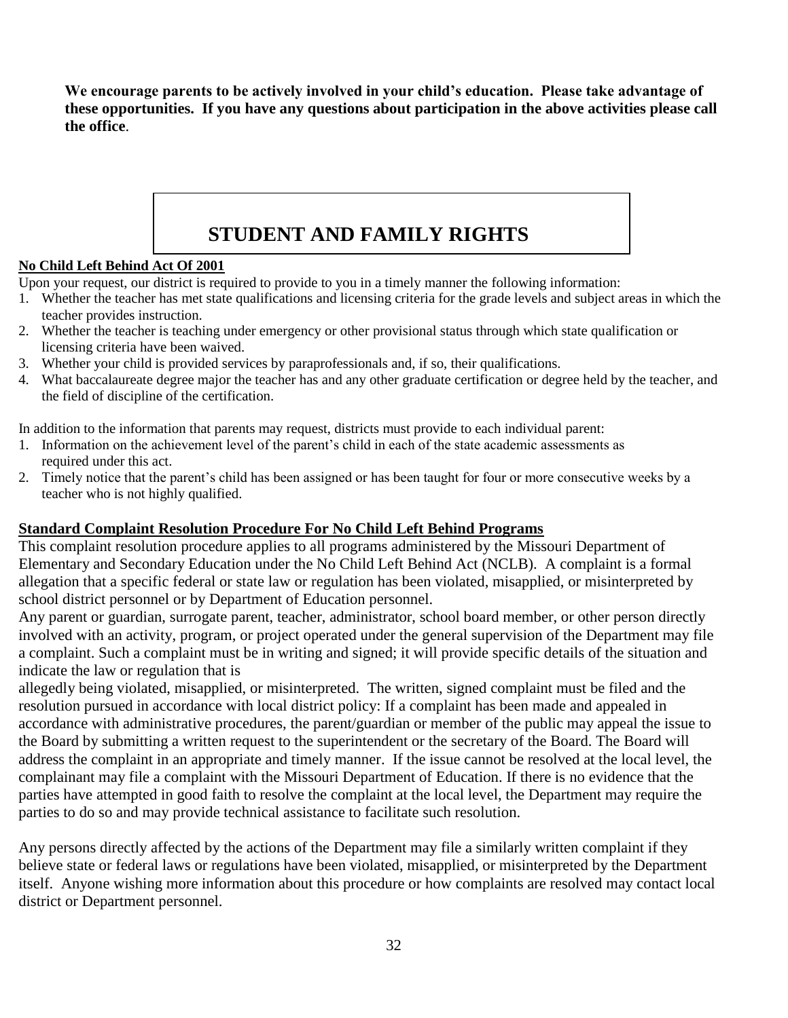<span id="page-32-0"></span>**We encourage parents to be actively involved in your child's education. Please take advantage of these opportunities. If you have any questions about participation in the above activities please call the office**.

# **STUDENT AND FAMILY RIGHTS**

#### **No Child Left Behind Act Of 2001**

Upon your request, our district is required to provide to you in a timely manner the following information:

- 1. Whether the teacher has met state qualifications and licensing criteria for the grade levels and subject areas in which the teacher provides instruction.
- 2. Whether the teacher is teaching under emergency or other provisional status through which state qualification or licensing criteria have been waived.
- 3. Whether your child is provided services by paraprofessionals and, if so, their qualifications.
- 4. What baccalaureate degree major the teacher has and any other graduate certification or degree held by the teacher, and the field of discipline of the certification.

In addition to the information that parents may request, districts must provide to each individual parent:

- 1. Information on the achievement level of the parent's child in each of the state academic assessments as required under this act.
- 2. Timely notice that the parent's child has been assigned or has been taught for four or more consecutive weeks by a teacher who is not highly qualified.

#### **Standard Complaint Resolution Procedure For No Child Left Behind Programs**

This complaint resolution procedure applies to all programs administered by the Missouri Department of Elementary and Secondary Education under the No Child Left Behind Act (NCLB). A complaint is a formal allegation that a specific federal or state law or regulation has been violated, misapplied, or misinterpreted by school district personnel or by Department of Education personnel.

Any parent or guardian, surrogate parent, teacher, administrator, school board member, or other person directly involved with an activity, program, or project operated under the general supervision of the Department may file a complaint. Such a complaint must be in writing and signed; it will provide specific details of the situation and indicate the law or regulation that is

allegedly being violated, misapplied, or misinterpreted. The written, signed complaint must be filed and the resolution pursued in accordance with local district policy: If a complaint has been made and appealed in accordance with administrative procedures, the parent/guardian or member of the public may appeal the issue to the Board by submitting a written request to the superintendent or the secretary of the Board. The Board will address the complaint in an appropriate and timely manner. If the issue cannot be resolved at the local level, the complainant may file a complaint with the Missouri Department of Education. If there is no evidence that the parties have attempted in good faith to resolve the complaint at the local level, the Department may require the parties to do so and may provide technical assistance to facilitate such resolution.

Any persons directly affected by the actions of the Department may file a similarly written complaint if they believe state or federal laws or regulations have been violated, misapplied, or misinterpreted by the Department itself. Anyone wishing more information about this procedure or how complaints are resolved may contact local district or Department personnel.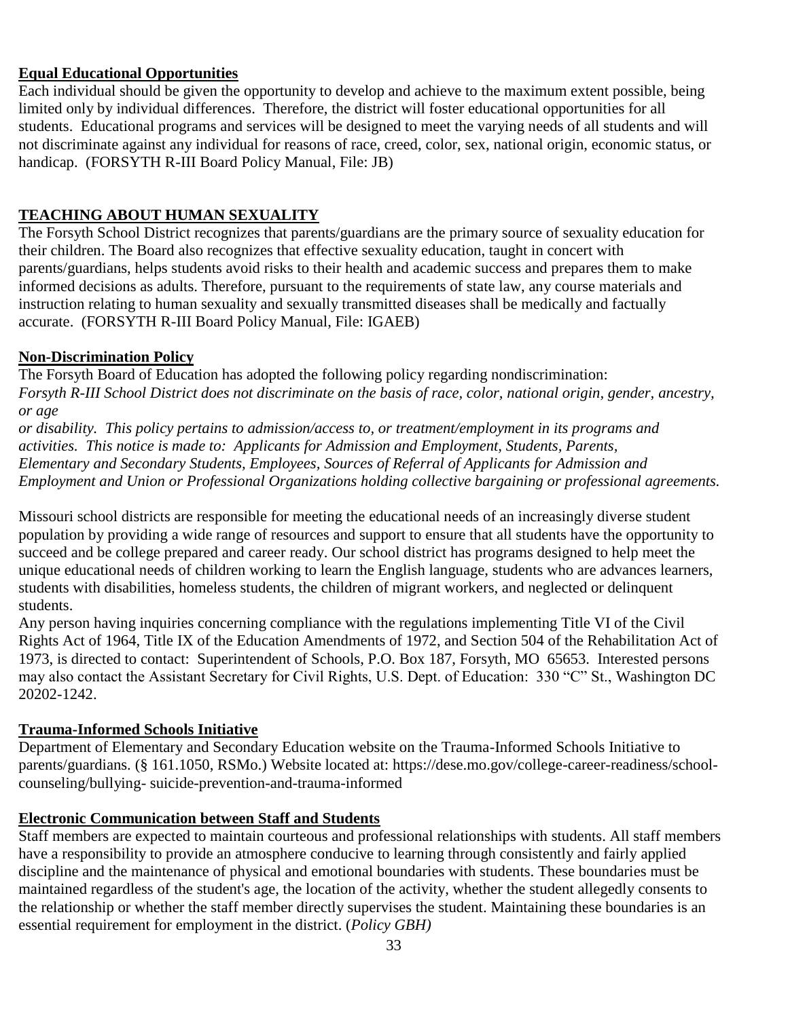#### **Equal Educational Opportunities**

Each individual should be given the opportunity to develop and achieve to the maximum extent possible, being limited only by individual differences. Therefore, the district will foster educational opportunities for all students. Educational programs and services will be designed to meet the varying needs of all students and will not discriminate against any individual for reasons of race, creed, color, sex, national origin, economic status, or handicap. (FORSYTH R-III Board Policy Manual, File: JB)

#### **TEACHING ABOUT HUMAN SEXUALITY**

The Forsyth School District recognizes that parents/guardians are the primary source of sexuality education for their children. The Board also recognizes that effective sexuality education, taught in concert with parents/guardians, helps students avoid risks to their health and academic success and prepares them to make informed decisions as adults. Therefore, pursuant to the requirements of state law, any course materials and instruction relating to human sexuality and sexually transmitted diseases shall be medically and factually accurate. (FORSYTH R-III Board Policy Manual, File: IGAEB)

#### **Non-Discrimination Policy**

The Forsyth Board of Education has adopted the following policy regarding nondiscrimination: *Forsyth R-III School District does not discriminate on the basis of race, color, national origin, gender, ancestry, or age or disability. This policy pertains to admission/access to, or treatment/employment in its programs and*

*activities. This notice is made to: Applicants for Admission and Employment, Students, Parents, Elementary and Secondary Students, Employees, Sources of Referral of Applicants for Admission and Employment and Union or Professional Organizations holding collective bargaining or professional agreements.*

Missouri school districts are responsible for meeting the educational needs of an increasingly diverse student population by providing a wide range of resources and support to ensure that all students have the opportunity to succeed and be college prepared and career ready. Our school district has programs designed to help meet the unique educational needs of children working to learn the English language, students who are advances learners, students with disabilities, homeless students, the children of migrant workers, and neglected or delinquent students.

Any person having inquiries concerning compliance with the regulations implementing Title VI of the Civil Rights Act of 1964, Title IX of the Education Amendments of 1972, and Section 504 of the Rehabilitation Act of 1973, is directed to contact: Superintendent of Schools, P.O. Box 187, Forsyth, MO 65653. Interested persons may also contact the Assistant Secretary for Civil Rights, U.S. Dept. of Education: 330 "C" St., Washington DC 20202-1242.

#### **Trauma-Informed Schools Initiative**

Department of Elementary and Secondary Education website on the Trauma-Informed Schools Initiative to parents/guardians. (§ 161.1050, RSMo.) Website located at: https://dese.mo.gov/college-career-readiness/schoolcounseling/bullying- suicide-prevention-and-trauma-informed

#### **Electronic Communication between Staff and Students**

Staff members are expected to maintain courteous and professional relationships with students. All staff members have a responsibility to provide an atmosphere conducive to learning through consistently and fairly applied discipline and the maintenance of physical and emotional boundaries with students. These boundaries must be maintained regardless of the student's age, the location of the activity, whether the student allegedly consents to the relationship or whether the staff member directly supervises the student. Maintaining these boundaries is an essential requirement for employment in the district. (*Policy GBH)*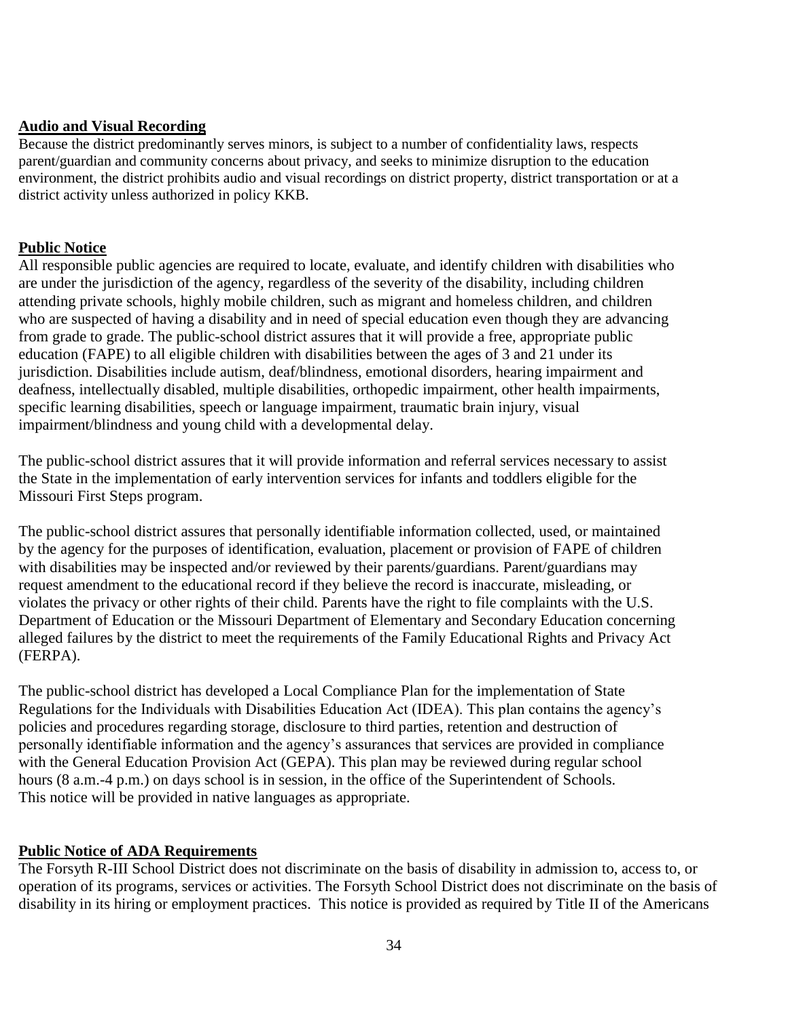#### **Audio and Visual Recording**

Because the district predominantly serves minors, is subject to a number of confidentiality laws, respects parent/guardian and community concerns about privacy, and seeks to minimize disruption to the education environment, the district prohibits audio and visual recordings on district property, district transportation or at a district activity unless authorized in policy KKB.

#### **Public Notice**

All responsible public agencies are required to locate, evaluate, and identify children with disabilities who are under the jurisdiction of the agency, regardless of the severity of the disability, including children attending private schools, highly mobile children, such as migrant and homeless children, and children who are suspected of having a disability and in need of special education even though they are advancing from grade to grade. The public-school district assures that it will provide a free, appropriate public education (FAPE) to all eligible children with disabilities between the ages of 3 and 21 under its jurisdiction. Disabilities include autism, deaf/blindness, emotional disorders, hearing impairment and deafness, intellectually disabled, multiple disabilities, orthopedic impairment, other health impairments, specific learning disabilities, speech or language impairment, traumatic brain injury, visual impairment/blindness and young child with a developmental delay.

The public-school district assures that it will provide information and referral services necessary to assist the State in the implementation of early intervention services for infants and toddlers eligible for the Missouri First Steps program.

The public-school district assures that personally identifiable information collected, used, or maintained by the agency for the purposes of identification, evaluation, placement or provision of FAPE of children with disabilities may be inspected and/or reviewed by their parents/guardians. Parent/guardians may request amendment to the educational record if they believe the record is inaccurate, misleading, or violates the privacy or other rights of their child. Parents have the right to file complaints with the U.S. Department of Education or the Missouri Department of Elementary and Secondary Education concerning alleged failures by the district to meet the requirements of the Family Educational Rights and Privacy Act (FERPA).

The public-school district has developed a Local Compliance Plan for the implementation of State Regulations for the Individuals with Disabilities Education Act (IDEA). This plan contains the agency's policies and procedures regarding storage, disclosure to third parties, retention and destruction of personally identifiable information and the agency's assurances that services are provided in compliance with the General Education Provision Act (GEPA). This plan may be reviewed during regular school hours (8 a.m.-4 p.m.) on days school is in session, in the office of the Superintendent of Schools. This notice will be provided in native languages as appropriate.

#### **Public Notice of ADA Requirements**

The Forsyth R-III School District does not discriminate on the basis of disability in admission to, access to, or operation of its programs, services or activities. The Forsyth School District does not discriminate on the basis of disability in its hiring or employment practices. This notice is provided as required by Title II of the Americans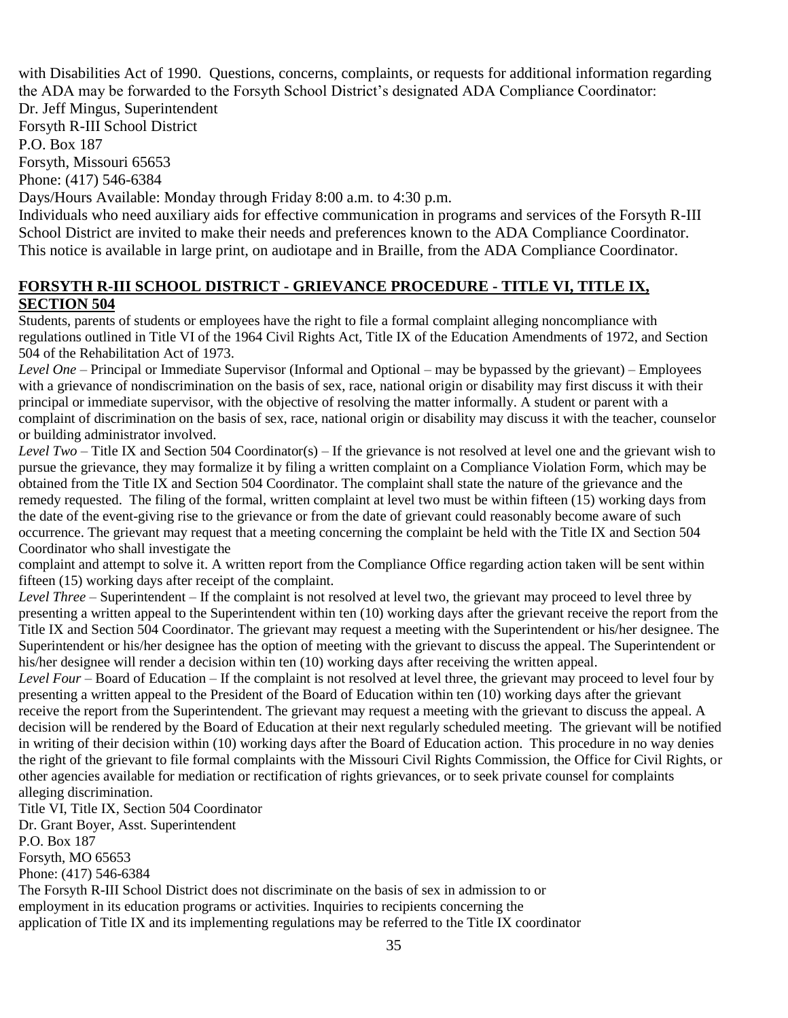with Disabilities Act of 1990. Questions, concerns, complaints, or requests for additional information regarding the ADA may be forwarded to the Forsyth School District's designated ADA Compliance Coordinator:

Dr. Jeff Mingus, Superintendent Forsyth R-III School District P.O. Box 187

Forsyth, Missouri 65653

Phone: (417) 546-6384

Days/Hours Available: Monday through Friday 8:00 a.m. to 4:30 p.m.

Individuals who need auxiliary aids for effective communication in programs and services of the Forsyth R-III School District are invited to make their needs and preferences known to the ADA Compliance Coordinator. This notice is available in large print, on audiotape and in Braille, from the ADA Compliance Coordinator.

#### **FORSYTH R-III SCHOOL DISTRICT - GRIEVANCE PROCEDURE - TITLE VI, TITLE IX, SECTION 504**

Students, parents of students or employees have the right to file a formal complaint alleging noncompliance with regulations outlined in Title VI of the 1964 Civil Rights Act, Title IX of the Education Amendments of 1972, and Section 504 of the Rehabilitation Act of 1973.

*Level One* – Principal or Immediate Supervisor (Informal and Optional – may be bypassed by the grievant) – Employees with a grievance of nondiscrimination on the basis of sex, race, national origin or disability may first discuss it with their principal or immediate supervisor, with the objective of resolving the matter informally. A student or parent with a complaint of discrimination on the basis of sex, race, national origin or disability may discuss it with the teacher, counselor or building administrator involved.

*Level Two* – Title IX and Section 504 Coordinator(s) – If the grievance is not resolved at level one and the grievant wish to pursue the grievance, they may formalize it by filing a written complaint on a Compliance Violation Form, which may be obtained from the Title IX and Section 504 Coordinator. The complaint shall state the nature of the grievance and the remedy requested. The filing of the formal, written complaint at level two must be within fifteen (15) working days from the date of the event-giving rise to the grievance or from the date of grievant could reasonably become aware of such occurrence. The grievant may request that a meeting concerning the complaint be held with the Title IX and Section 504 Coordinator who shall investigate the

complaint and attempt to solve it. A written report from the Compliance Office regarding action taken will be sent within fifteen (15) working days after receipt of the complaint.

*Level Three* – Superintendent – If the complaint is not resolved at level two, the grievant may proceed to level three by presenting a written appeal to the Superintendent within ten (10) working days after the grievant receive the report from the Title IX and Section 504 Coordinator. The grievant may request a meeting with the Superintendent or his/her designee. The Superintendent or his/her designee has the option of meeting with the grievant to discuss the appeal. The Superintendent or his/her designee will render a decision within ten (10) working days after receiving the written appeal.

*Level Four* – Board of Education – If the complaint is not resolved at level three, the grievant may proceed to level four by presenting a written appeal to the President of the Board of Education within ten (10) working days after the grievant receive the report from the Superintendent. The grievant may request a meeting with the grievant to discuss the appeal. A decision will be rendered by the Board of Education at their next regularly scheduled meeting. The grievant will be notified in writing of their decision within (10) working days after the Board of Education action. This procedure in no way denies the right of the grievant to file formal complaints with the Missouri Civil Rights Commission, the Office for Civil Rights, or other agencies available for mediation or rectification of rights grievances, or to seek private counsel for complaints alleging discrimination.

Title VI, Title IX, Section 504 Coordinator Dr. Grant Boyer, Asst. Superintendent P.O. Box 187 Forsyth, MO 65653 Phone: (417) 546-6384

The Forsyth R-III School District does not discriminate on the basis of sex in admission to or employment in its education programs or activities. Inquiries to recipients concerning the application of Title IX and its implementing regulations may be referred to the Title IX coordinator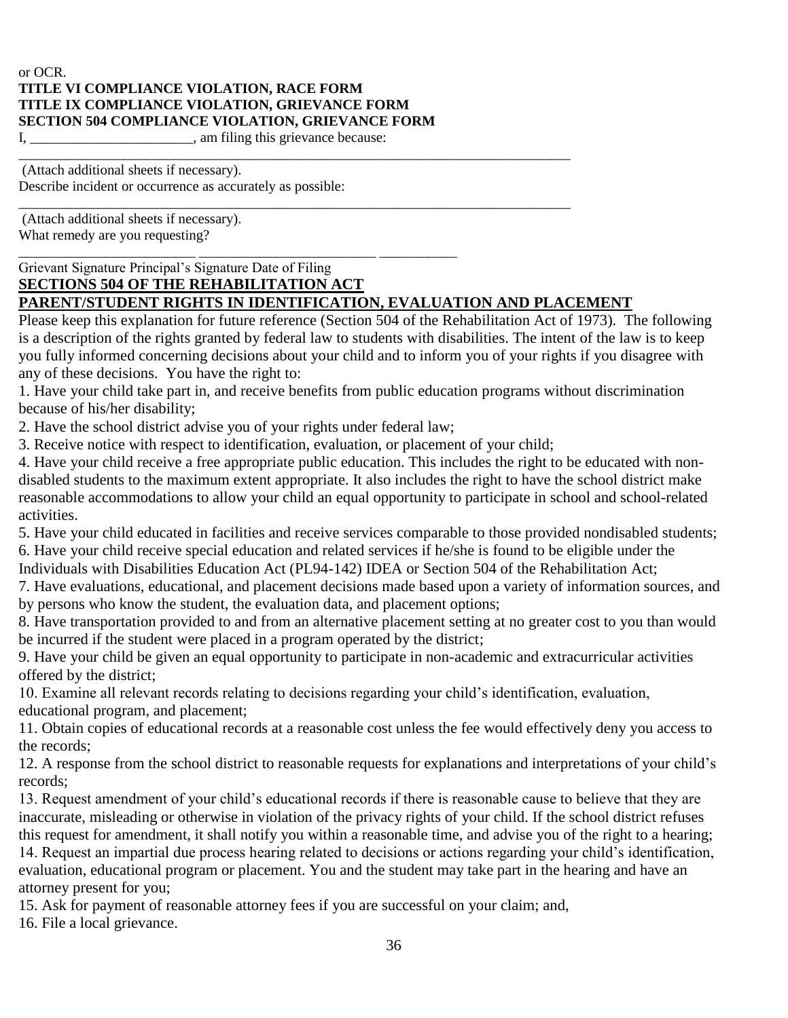#### or OCR. **TITLE VI COMPLIANCE VIOLATION, RACE FORM TITLE IX COMPLIANCE VIOLATION, GRIEVANCE FORM SECTION 504 COMPLIANCE VIOLATION, GRIEVANCE FORM** I, \_\_\_\_\_\_\_\_\_\_\_\_\_\_\_\_\_\_\_\_\_\_, am filing this grievance because:

\_\_\_\_\_\_\_\_\_\_\_\_\_\_\_\_\_\_\_\_\_\_\_\_\_\_\_\_\_\_\_\_\_\_\_\_\_\_\_\_\_\_\_\_\_\_\_\_\_\_\_\_\_\_\_\_\_\_\_\_\_\_\_\_\_\_\_\_\_\_\_\_\_\_\_\_\_\_ (Attach additional sheets if necessary). Describe incident or occurrence as accurately as possible:

(Attach additional sheets if necessary). What remedy are you requesting?

\_\_\_\_\_\_\_\_\_\_\_\_\_\_\_\_\_\_\_\_\_\_\_\_\_ \_\_\_\_\_\_\_\_\_\_\_\_\_\_\_\_\_\_\_\_\_\_\_\_\_ \_\_\_\_\_\_\_\_\_\_\_ Grievant Signature Principal's Signature Date of Filing

#### **SECTIONS 504 OF THE REHABILITATION ACT PARENT/STUDENT RIGHTS IN IDENTIFICATION, EVALUATION AND PLACEMENT**

\_\_\_\_\_\_\_\_\_\_\_\_\_\_\_\_\_\_\_\_\_\_\_\_\_\_\_\_\_\_\_\_\_\_\_\_\_\_\_\_\_\_\_\_\_\_\_\_\_\_\_\_\_\_\_\_\_\_\_\_\_\_\_\_\_\_\_\_\_\_\_\_\_\_\_\_\_\_

Please keep this explanation for future reference (Section 504 of the Rehabilitation Act of 1973). The following is a description of the rights granted by federal law to students with disabilities. The intent of the law is to keep you fully informed concerning decisions about your child and to inform you of your rights if you disagree with any of these decisions. You have the right to:

1. Have your child take part in, and receive benefits from public education programs without discrimination because of his/her disability;

2. Have the school district advise you of your rights under federal law;

3. Receive notice with respect to identification, evaluation, or placement of your child;

4. Have your child receive a free appropriate public education. This includes the right to be educated with nondisabled students to the maximum extent appropriate. It also includes the right to have the school district make reasonable accommodations to allow your child an equal opportunity to participate in school and school-related activities.

5. Have your child educated in facilities and receive services comparable to those provided nondisabled students; 6. Have your child receive special education and related services if he/she is found to be eligible under the Individuals with Disabilities Education Act (PL94-142) IDEA or Section 504 of the Rehabilitation Act;

7. Have evaluations, educational, and placement decisions made based upon a variety of information sources, and by persons who know the student, the evaluation data, and placement options;

8. Have transportation provided to and from an alternative placement setting at no greater cost to you than would be incurred if the student were placed in a program operated by the district;

9. Have your child be given an equal opportunity to participate in non-academic and extracurricular activities offered by the district;

10. Examine all relevant records relating to decisions regarding your child's identification, evaluation, educational program, and placement;

11. Obtain copies of educational records at a reasonable cost unless the fee would effectively deny you access to the records;

12. A response from the school district to reasonable requests for explanations and interpretations of your child's records;

13. Request amendment of your child's educational records if there is reasonable cause to believe that they are inaccurate, misleading or otherwise in violation of the privacy rights of your child. If the school district refuses this request for amendment, it shall notify you within a reasonable time, and advise you of the right to a hearing; 14. Request an impartial due process hearing related to decisions or actions regarding your child's identification,

evaluation, educational program or placement. You and the student may take part in the hearing and have an attorney present for you;

15. Ask for payment of reasonable attorney fees if you are successful on your claim; and,

16. File a local grievance.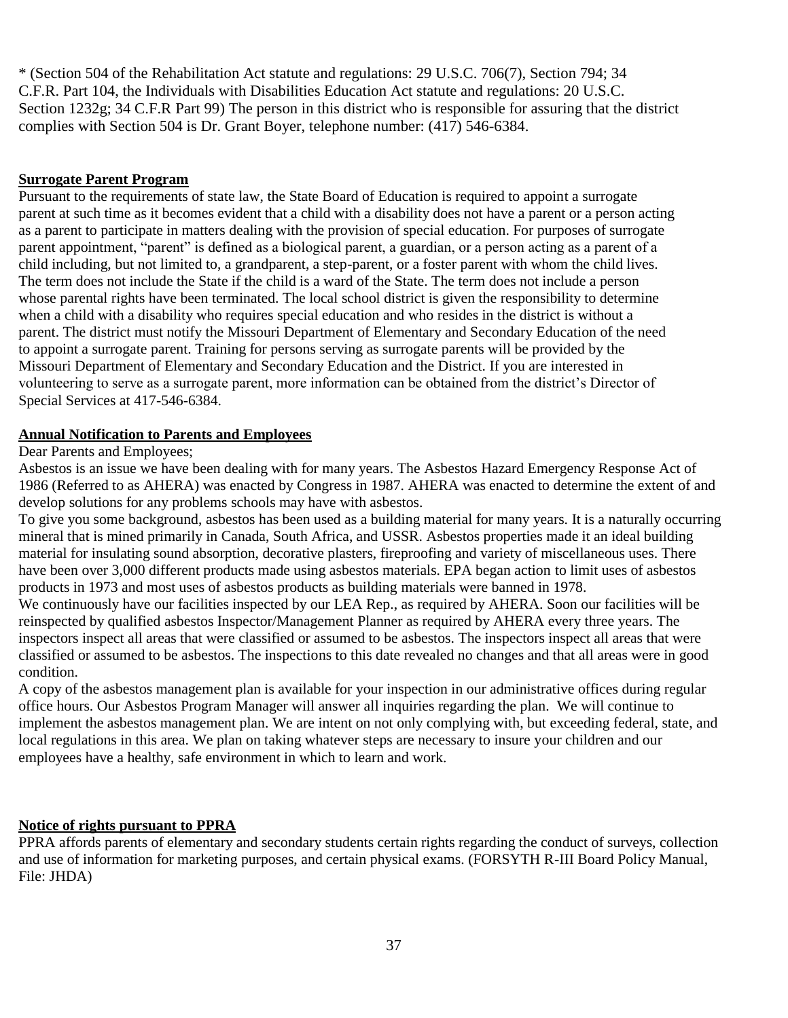\* (Section 504 of the Rehabilitation Act statute and regulations: 29 U.S.C. 706(7), Section 794; 34 C.F.R. Part 104, the Individuals with Disabilities Education Act statute and regulations: 20 U.S.C. Section 1232g; 34 C.F.R Part 99) The person in this district who is responsible for assuring that the district complies with Section 504 is Dr. Grant Boyer, telephone number: (417) 546-6384.

#### **Surrogate Parent Program**

Pursuant to the requirements of state law, the State Board of Education is required to appoint a surrogate parent at such time as it becomes evident that a child with a disability does not have a parent or a person acting as a parent to participate in matters dealing with the provision of special education. For purposes of surrogate parent appointment, "parent" is defined as a biological parent, a guardian, or a person acting as a parent of a child including, but not limited to, a grandparent, a step-parent, or a foster parent with whom the child lives. The term does not include the State if the child is a ward of the State. The term does not include a person whose parental rights have been terminated. The local school district is given the responsibility to determine when a child with a disability who requires special education and who resides in the district is without a parent. The district must notify the Missouri Department of Elementary and Secondary Education of the need to appoint a surrogate parent. Training for persons serving as surrogate parents will be provided by the Missouri Department of Elementary and Secondary Education and the District. If you are interested in volunteering to serve as a surrogate parent, more information can be obtained from the district's Director of Special Services at 417-546-6384.

#### **Annual Notification to Parents and Employees**

#### Dear Parents and Employees;

Asbestos is an issue we have been dealing with for many years. The Asbestos Hazard Emergency Response Act of 1986 (Referred to as AHERA) was enacted by Congress in 1987. AHERA was enacted to determine the extent of and develop solutions for any problems schools may have with asbestos.

To give you some background, asbestos has been used as a building material for many years. It is a naturally occurring mineral that is mined primarily in Canada, South Africa, and USSR. Asbestos properties made it an ideal building material for insulating sound absorption, decorative plasters, fireproofing and variety of miscellaneous uses. There have been over 3,000 different products made using asbestos materials. EPA began action to limit uses of asbestos products in 1973 and most uses of asbestos products as building materials were banned in 1978.

We continuously have our facilities inspected by our LEA Rep., as required by AHERA. Soon our facilities will be reinspected by qualified asbestos Inspector/Management Planner as required by AHERA every three years. The inspectors inspect all areas that were classified or assumed to be asbestos. The inspectors inspect all areas that were classified or assumed to be asbestos. The inspections to this date revealed no changes and that all areas were in good condition.

A copy of the asbestos management plan is available for your inspection in our administrative offices during regular office hours. Our Asbestos Program Manager will answer all inquiries regarding the plan. We will continue to implement the asbestos management plan. We are intent on not only complying with, but exceeding federal, state, and local regulations in this area. We plan on taking whatever steps are necessary to insure your children and our employees have a healthy, safe environment in which to learn and work.

#### **Notice of rights pursuant to PPRA**

PPRA affords parents of elementary and secondary students certain rights regarding the conduct of surveys, collection and use of information for marketing purposes, and certain physical exams. (FORSYTH R-III Board Policy Manual, File: JHDA)